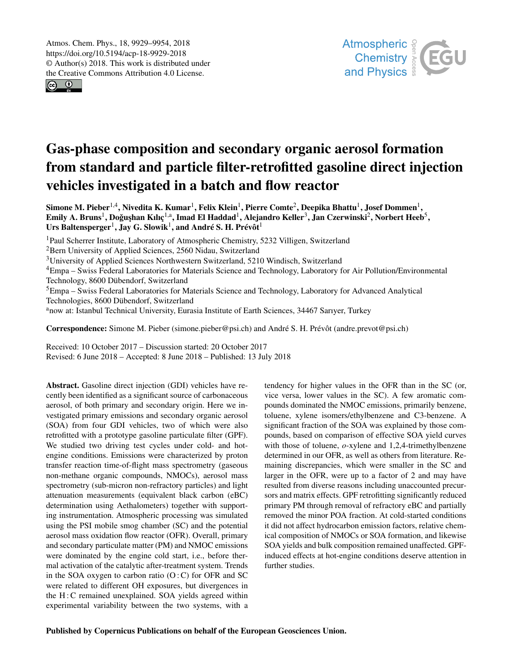$\circledcirc$   $\circledcirc$ 



# Gas-phase composition and secondary organic aerosol formation from standard and particle filter-retrofitted gasoline direct injection vehicles investigated in a batch and flow reactor

Simone M. Pieber $^{1,4}$ , Nivedita K. Kumar $^1$ , Felix Klein $^1$ , Pierre Comte $^2$ , Deepika Bhattu $^1$ , Josef Dommen $^1$ , Emily A. Bruns<sup>1</sup>, Doğuşhan Kılıç<sup>1,a</sup>, Imad El Haddad<sup>1</sup>, Alejandro Keller<sup>3</sup>, Jan Czerwinski<sup>2</sup>, Norbert Heeb<sup>5</sup>, Urs Baltensperger<sup>1</sup>, Jay G. Slowik<sup>1</sup>, and André S. H. Prévôt<sup>1</sup>

<sup>1</sup>Paul Scherrer Institute, Laboratory of Atmospheric Chemistry, 5232 Villigen, Switzerland

<sup>2</sup>Bern University of Applied Sciences, 2560 Nidau, Switzerland

<sup>3</sup>University of Applied Sciences Northwestern Switzerland, 5210 Windisch, Switzerland

<sup>4</sup>Empa – Swiss Federal Laboratories for Materials Science and Technology, Laboratory for Air Pollution/Environmental Technology, 8600 Dübendorf, Switzerland

<sup>5</sup>Empa – Swiss Federal Laboratories for Materials Science and Technology, Laboratory for Advanced Analytical Technologies, 8600 Dübendorf, Switzerland

anow at: Istanbul Technical University, Eurasia Institute of Earth Sciences, 34467 Sarıyer, Turkey

Correspondence: Simone M. Pieber (simone.pieber@psi.ch) and André S. H. Prévôt (andre.prevot@psi.ch)

Received: 10 October 2017 – Discussion started: 20 October 2017 Revised: 6 June 2018 – Accepted: 8 June 2018 – Published: 13 July 2018

Abstract. Gasoline direct injection (GDI) vehicles have recently been identified as a significant source of carbonaceous aerosol, of both primary and secondary origin. Here we investigated primary emissions and secondary organic aerosol (SOA) from four GDI vehicles, two of which were also retrofitted with a prototype gasoline particulate filter (GPF). We studied two driving test cycles under cold- and hotengine conditions. Emissions were characterized by proton transfer reaction time-of-flight mass spectrometry (gaseous non-methane organic compounds, NMOCs), aerosol mass spectrometry (sub-micron non-refractory particles) and light attenuation measurements (equivalent black carbon (eBC) determination using Aethalometers) together with supporting instrumentation. Atmospheric processing was simulated using the PSI mobile smog chamber (SC) and the potential aerosol mass oxidation flow reactor (OFR). Overall, primary and secondary particulate matter (PM) and NMOC emissions were dominated by the engine cold start, i.e., before thermal activation of the catalytic after-treatment system. Trends in the SOA oxygen to carbon ratio  $(O: C)$  for OFR and SC were related to different OH exposures, but divergences in the H: C remained unexplained. SOA yields agreed within experimental variability between the two systems, with a tendency for higher values in the OFR than in the SC (or, vice versa, lower values in the SC). A few aromatic compounds dominated the NMOC emissions, primarily benzene, toluene, xylene isomers/ethylbenzene and C3-benzene. A significant fraction of the SOA was explained by those compounds, based on comparison of effective SOA yield curves with those of toluene, *o*-xylene and 1,2,4-trimethylbenzene determined in our OFR, as well as others from literature. Remaining discrepancies, which were smaller in the SC and larger in the OFR, were up to a factor of 2 and may have resulted from diverse reasons including unaccounted precursors and matrix effects. GPF retrofitting significantly reduced primary PM through removal of refractory eBC and partially removed the minor POA fraction. At cold-started conditions it did not affect hydrocarbon emission factors, relative chemical composition of NMOCs or SOA formation, and likewise SOA yields and bulk composition remained unaffected. GPFinduced effects at hot-engine conditions deserve attention in further studies.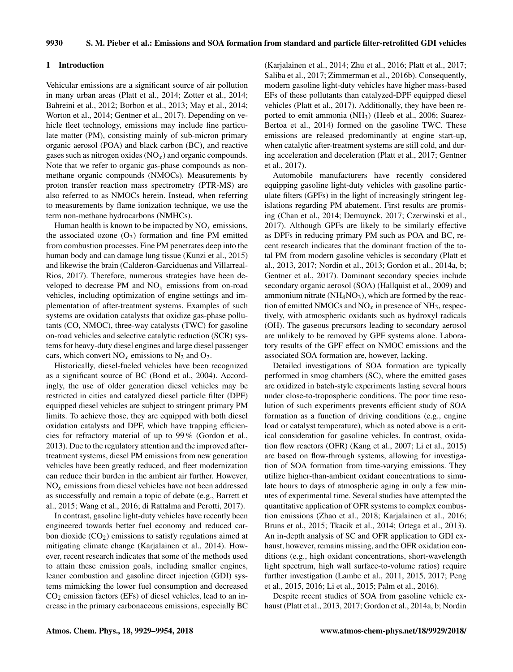## 1 Introduction

Vehicular emissions are a significant source of air pollution in many urban areas (Platt et al., 2014; Zotter et al., 2014; Bahreini et al., 2012; Borbon et al., 2013; May et al., 2014; Worton et al., 2014; Gentner et al., 2017). Depending on vehicle fleet technology, emissions may include fine particulate matter (PM), consisting mainly of sub-micron primary organic aerosol (POA) and black carbon (BC), and reactive gases such as nitrogen oxides  $(NO<sub>x</sub>)$  and organic compounds. Note that we refer to organic gas-phase compounds as nonmethane organic compounds (NMOCs). Measurements by proton transfer reaction mass spectrometry (PTR-MS) are also referred to as NMOCs herein. Instead, when referring to measurements by flame ionization technique, we use the term non-methane hydrocarbons (NMHCs).

Human health is known to be impacted by  $NO_x$  emissions, the associated ozone  $(O_3)$  formation and fine PM emitted from combustion processes. Fine PM penetrates deep into the human body and can damage lung tissue (Kunzi et al., 2015) and likewise the brain (Calderon-Garciduenas and Villarreal-Rios, 2017). Therefore, numerous strategies have been developed to decrease PM and  $NO<sub>x</sub>$  emissions from on-road vehicles, including optimization of engine settings and implementation of after-treatment systems. Examples of such systems are oxidation catalysts that oxidize gas-phase pollutants (CO, NMOC), three-way catalysts (TWC) for gasoline on-road vehicles and selective catalytic reduction (SCR) systems for heavy-duty diesel engines and large diesel passenger cars, which convert  $NO_x$  emissions to  $N_2$  and  $O_2$ .

Historically, diesel-fueled vehicles have been recognized as a significant source of BC (Bond et al., 2004). Accordingly, the use of older generation diesel vehicles may be restricted in cities and catalyzed diesel particle filter (DPF) equipped diesel vehicles are subject to stringent primary PM limits. To achieve those, they are equipped with both diesel oxidation catalysts and DPF, which have trapping efficiencies for refractory material of up to 99 % (Gordon et al., 2013). Due to the regulatory attention and the improved aftertreatment systems, diesel PM emissions from new generation vehicles have been greatly reduced, and fleet modernization can reduce their burden in the ambient air further. However,  $NO<sub>x</sub>$  emissions from diesel vehicles have not been addressed as successfully and remain a topic of debate (e.g., Barrett et al., 2015; Wang et al., 2016; di Rattalma and Perotti, 2017).

In contrast, gasoline light-duty vehicles have recently been engineered towards better fuel economy and reduced carbon dioxide (CO<sub>2</sub>) emissions to satisfy regulations aimed at mitigating climate change (Karjalainen et al., 2014). However, recent research indicates that some of the methods used to attain these emission goals, including smaller engines, leaner combustion and gasoline direct injection (GDI) systems mimicking the lower fuel consumption and decreased  $CO<sub>2</sub>$  emission factors (EFs) of diesel vehicles, lead to an increase in the primary carbonaceous emissions, especially BC (Karjalainen et al., 2014; Zhu et al., 2016; Platt et al., 2017; Saliba et al., 2017; Zimmerman et al., 2016b). Consequently, modern gasoline light-duty vehicles have higher mass-based EFs of these pollutants than catalyzed-DPF equipped diesel vehicles (Platt et al., 2017). Additionally, they have been reported to emit ammonia (NH<sub>3</sub>) (Heeb et al., 2006; Suarez-Bertoa et al., 2014) formed on the gasoline TWC. These emissions are released predominantly at engine start-up, when catalytic after-treatment systems are still cold, and during acceleration and deceleration (Platt et al., 2017; Gentner et al., 2017).

Automobile manufacturers have recently considered equipping gasoline light-duty vehicles with gasoline particulate filters (GPFs) in the light of increasingly stringent legislations regarding PM abatement. First results are promising (Chan et al., 2014; Demuynck, 2017; Czerwinski et al., 2017). Although GPFs are likely to be similarly effective as DPFs in reducing primary PM such as POA and BC, recent research indicates that the dominant fraction of the total PM from modern gasoline vehicles is secondary (Platt et al., 2013, 2017; Nordin et al., 2013; Gordon et al., 2014a, b; Gentner et al., 2017). Dominant secondary species include secondary organic aerosol (SOA) (Hallquist et al., 2009) and ammonium nitrate ( $NH<sub>4</sub>NO<sub>3</sub>$ ), which are formed by the reaction of emitted NMOCs and  $NO<sub>x</sub>$  in presence of NH<sub>3</sub>, respectively, with atmospheric oxidants such as hydroxyl radicals (OH). The gaseous precursors leading to secondary aerosol are unlikely to be removed by GPF systems alone. Laboratory results of the GPF effect on NMOC emissions and the associated SOA formation are, however, lacking.

Detailed investigations of SOA formation are typically performed in smog chambers (SC), where the emitted gases are oxidized in batch-style experiments lasting several hours under close-to-tropospheric conditions. The poor time resolution of such experiments prevents efficient study of SOA formation as a function of driving conditions (e.g., engine load or catalyst temperature), which as noted above is a critical consideration for gasoline vehicles. In contrast, oxidation flow reactors (OFR) (Kang et al., 2007; Li et al., 2015) are based on flow-through systems, allowing for investigation of SOA formation from time-varying emissions. They utilize higher-than-ambient oxidant concentrations to simulate hours to days of atmospheric aging in only a few minutes of experimental time. Several studies have attempted the quantitative application of OFR systems to complex combustion emissions (Zhao et al., 2018; Karjalainen et al., 2016; Bruns et al., 2015; Tkacik et al., 2014; Ortega et al., 2013). An in-depth analysis of SC and OFR application to GDI exhaust, however, remains missing, and the OFR oxidation conditions (e.g., high oxidant concentrations, short-wavelength light spectrum, high wall surface-to-volume ratios) require further investigation (Lambe et al., 2011, 2015, 2017; Peng et al., 2015, 2016; Li et al., 2015; Palm et al., 2016).

Despite recent studies of SOA from gasoline vehicle exhaust (Platt et al., 2013, 2017; Gordon et al., 2014a, b; Nordin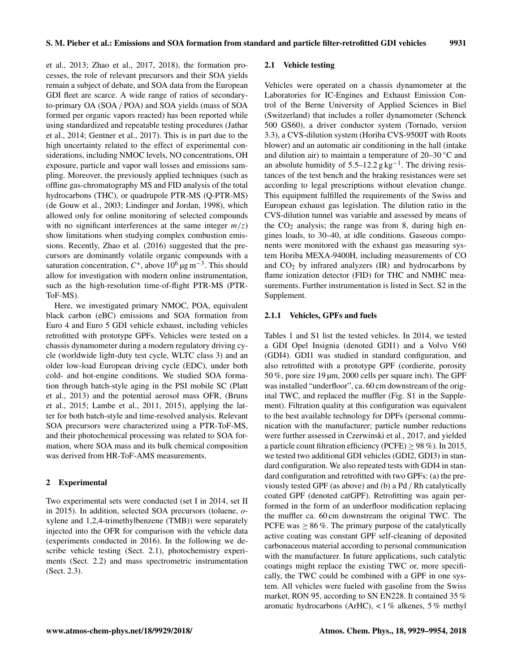et al., 2013; Zhao et al., 2017, 2018), the formation processes, the role of relevant precursors and their SOA yields remain a subject of debate, and SOA data from the European GDI fleet are scarce. A wide range of ratios of secondaryto-primary OA (SOA / POA) and SOA yields (mass of SOA formed per organic vapors reacted) has been reported while using standardized and repeatable testing procedures (Jathar et al., 2014; Gentner et al., 2017). This is in part due to the high uncertainty related to the effect of experimental considerations, including NMOC levels, NO concentrations, OH exposure, particle and vapor wall losses and emissions sampling. Moreover, the previously applied techniques (such as offline gas-chromatography MS and FID analysis of the total hydrocarbons (THC), or quadrupole PTR-MS (Q-PTR-MS) (de Gouw et al., 2003; Lindinger and Jordan, 1998), which allowed only for online monitoring of selected compounds with no significant interferences at the same integer  $m/z$ ) show limitations when studying complex combustion emissions. Recently, Zhao et al. (2016) suggested that the precursors are dominantly volatile organic compounds with a saturation concentration,  $C^*$ , above  $10^6 \,\text{µg m}^{-3}$ . This should allow for investigation with modern online instrumentation, such as the high-resolution time-of-flight PTR-MS (PTR-ToF-MS).

Here, we investigated primary NMOC, POA, equivalent black carbon (eBC) emissions and SOA formation from Euro 4 and Euro 5 GDI vehicle exhaust, including vehicles retrofitted with prototype GPFs. Vehicles were tested on a chassis dynamometer during a modern regulatory driving cycle (worldwide light-duty test cycle, WLTC class 3) and an older low-load European driving cycle (EDC), under both cold- and hot-engine conditions. We studied SOA formation through batch-style aging in the PSI mobile SC (Platt et al., 2013) and the potential aerosol mass OFR, (Bruns et al., 2015; Lambe et al., 2011, 2015), applying the latter for both batch-style and time-resolved analysis. Relevant SOA precursors were characterized using a PTR-ToF-MS, and their photochemical processing was related to SOA formation, where SOA mass and its bulk chemical composition was derived from HR-ToF-AMS measurements.

#### 2 Experimental

Two experimental sets were conducted (set I in 2014, set II in 2015). In addition, selected SOA precursors (toluene, oxylene and 1,2,4-trimethylbenzene (TMB)) were separately injected into the OFR for comparison with the vehicle data (experiments conducted in 2016). In the following we describe vehicle testing (Sect. 2.1), photochemistry experiments (Sect. 2.2) and mass spectrometric instrumentation (Sect. 2.3).

#### 2.1 Vehicle testing

Vehicles were operated on a chassis dynamometer at the Laboratories for IC-Engines and Exhaust Emission Control of the Berne University of Applied Sciences in Biel (Switzerland) that includes a roller dynamometer (Schenck 500 GS60), a driver conductor system (Tornado, version 3.3), a CVS-dilution system (Horiba CVS-9500T with Roots blower) and an automatic air conditioning in the hall (intake and dilution air) to maintain a temperature of  $20-30$  °C and an absolute humidity of  $5.5-12.2$  g kg<sup>-1</sup>. The driving resistances of the test bench and the braking resistances were set according to legal prescriptions without elevation change. This equipment fulfilled the requirements of the Swiss and European exhaust gas legislation. The dilution ratio in the CVS-dilution tunnel was variable and assessed by means of the  $CO<sub>2</sub>$  analysis; the range was from 8, during high engines loads, to 30–40, at idle conditions. Gaseous components were monitored with the exhaust gas measuring system Horiba MEXA-9400H, including measurements of CO and  $CO<sub>2</sub>$  by infrared analyzers (IR) and hydrocarbons by flame ionization detector (FID) for THC and NMHC measurements. Further instrumentation is listed in Sect. S2 in the Supplement.

## 2.1.1 Vehicles, GPFs and fuels

Tables 1 and S1 list the tested vehicles. In 2014, we tested a GDI Opel Insignia (denoted GDI1) and a Volvo V60 (GDI4). GDI1 was studied in standard configuration, and also retrofitted with a prototype GPF (cordierite, porosity 50 %, pore size 19 µm, 2000 cells per square inch). The GPF was installed "underfloor", ca. 60 cm downstream of the original TWC, and replaced the muffler (Fig. S1 in the Supplement). Filtration quality at this configuration was equivalent to the best available technology for DPFs (personal communication with the manufacturer; particle number reductions were further assessed in Czerwinski et al., 2017, and yielded a particle count filtration efficiency (PCFE)  $\geq$  98 %). In 2015, we tested two additional GDI vehicles (GDI2, GDI3) in standard configuration. We also repeated tests with GDI4 in standard configuration and retrofitted with two GPFs: (a) the previously tested GPF (as above) and (b) a Pd /Rh catalytically coated GPF (denoted catGPF). Retrofitting was again performed in the form of an underfloor modification replacing the muffler ca. 60 cm downstream the original TWC. The PCFE was  $\geq 86\%$ . The primary purpose of the catalytically active coating was constant GPF self-cleaning of deposited carbonaceous material according to personal communication with the manufacturer. In future applications, such catalytic coatings might replace the existing TWC or, more specifically, the TWC could be combined with a GPF in one system. All vehicles were fueled with gasoline from the Swiss market, RON 95, according to SN EN228. It contained 35 % aromatic hydrocarbons (ArHC), < 1 % alkenes, 5 % methyl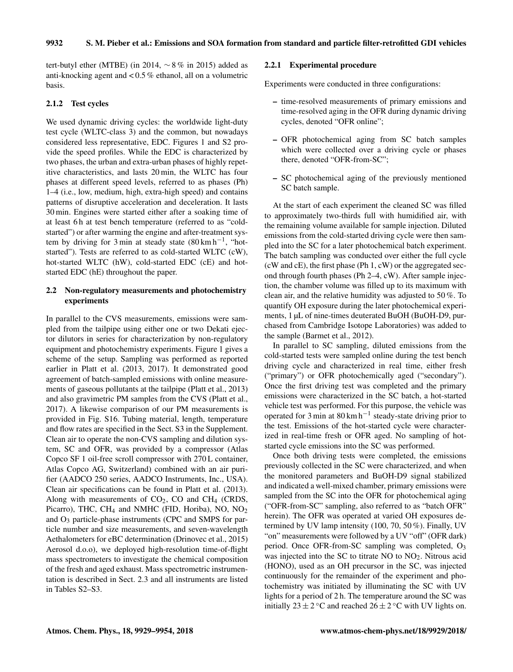tert-butyl ether (MTBE) (in 2014,  $\sim$  8% in 2015) added as anti-knocking agent and < 0.5 % ethanol, all on a volumetric basis.

## 2.1.2 Test cycles

We used dynamic driving cycles: the worldwide light-duty test cycle (WLTC-class 3) and the common, but nowadays considered less representative, EDC. Figures 1 and S2 provide the speed profiles. While the EDC is characterized by two phases, the urban and extra-urban phases of highly repetitive characteristics, and lasts 20 min, the WLTC has four phases at different speed levels, referred to as phases (Ph) 1–4 (i.e., low, medium, high, extra-high speed) and contains patterns of disruptive acceleration and deceleration. It lasts 30 min. Engines were started either after a soaking time of at least 6 h at test bench temperature (referred to as "coldstarted") or after warming the engine and after-treatment system by driving for 3 min at steady state  $(80 \text{ km h}^{-1})$ , "hotstarted"). Tests are referred to as cold-started WLTC (cW), hot-started WLTC (hW), cold-started EDC (cE) and hotstarted EDC (hE) throughout the paper.

## 2.2 Non-regulatory measurements and photochemistry experiments

In parallel to the CVS measurements, emissions were sampled from the tailpipe using either one or two Dekati ejector dilutors in series for characterization by non-regulatory equipment and photochemistry experiments. Figure 1 gives a scheme of the setup. Sampling was performed as reported earlier in Platt et al. (2013, 2017). It demonstrated good agreement of batch-sampled emissions with online measurements of gaseous pollutants at the tailpipe (Platt et al., 2013) and also gravimetric PM samples from the CVS (Platt et al., 2017). A likewise comparison of our PM measurements is provided in Fig. S16. Tubing material, length, temperature and flow rates are specified in the Sect. S3 in the Supplement. Clean air to operate the non-CVS sampling and dilution system, SC and OFR, was provided by a compressor (Atlas Copco SF 1 oil-free scroll compressor with 270 L container, Atlas Copco AG, Switzerland) combined with an air purifier (AADCO 250 series, AADCO Instruments, Inc., USA). Clean air specifications can be found in Platt et al. (2013). Along with measurements of  $CO<sub>2</sub>$ , CO and CH<sub>4</sub> (CRDS, Picarro), THC, CH<sub>4</sub> and NMHC (FID, Horiba), NO, NO<sub>2</sub> and O<sup>3</sup> particle-phase instruments (CPC and SMPS for particle number and size measurements, and seven-wavelength Aethalometers for eBC determination (Drinovec et al., 2015) Aerosol d.o.o), we deployed high-resolution time-of-flight mass spectrometers to investigate the chemical composition of the fresh and aged exhaust. Mass spectrometric instrumentation is described in Sect. 2.3 and all instruments are listed in Tables S2–S3.

## 2.2.1 Experimental procedure

Experiments were conducted in three configurations:

- time-resolved measurements of primary emissions and time-resolved aging in the OFR during dynamic driving cycles, denoted "OFR online";
- OFR photochemical aging from SC batch samples which were collected over a driving cycle or phases there, denoted "OFR-from-SC";
- SC photochemical aging of the previously mentioned SC batch sample.

At the start of each experiment the cleaned SC was filled to approximately two-thirds full with humidified air, with the remaining volume available for sample injection. Diluted emissions from the cold-started driving cycle were then sampled into the SC for a later photochemical batch experiment. The batch sampling was conducted over either the full cycle (cW and cE), the first phase (Ph 1, cW) or the aggregated second through fourth phases (Ph 2–4, cW). After sample injection, the chamber volume was filled up to its maximum with clean air, and the relative humidity was adjusted to 50 %. To quantify OH exposure during the later photochemical experiments, 1 µL of nine-times deuterated BuOH (BuOH-D9, purchased from Cambridge Isotope Laboratories) was added to the sample (Barmet et al., 2012).

In parallel to SC sampling, diluted emissions from the cold-started tests were sampled online during the test bench driving cycle and characterized in real time, either fresh ("primary") or OFR photochemically aged ("secondary"). Once the first driving test was completed and the primary emissions were characterized in the SC batch, a hot-started vehicle test was performed. For this purpose, the vehicle was operated for 3 min at  $80 \text{ km h}^{-1}$  steady-state driving prior to the test. Emissions of the hot-started cycle were characterized in real-time fresh or OFR aged. No sampling of hotstarted cycle emissions into the SC was performed.

Once both driving tests were completed, the emissions previously collected in the SC were characterized, and when the monitored parameters and BuOH-D9 signal stabilized and indicated a well-mixed chamber, primary emissions were sampled from the SC into the OFR for photochemical aging ("OFR-from-SC" sampling, also referred to as "batch OFR" herein). The OFR was operated at varied OH exposures determined by UV lamp intensity (100, 70, 50 %). Finally, UV "on" measurements were followed by a UV "off" (OFR dark) period. Once OFR-from-SC sampling was completed,  $O_3$ was injected into the SC to titrate NO to  $NO<sub>2</sub>$ . Nitrous acid (HONO), used as an OH precursor in the SC, was injected continuously for the remainder of the experiment and photochemistry was initiated by illuminating the SC with UV lights for a period of 2 h. The temperature around the SC was initially  $23 \pm 2^{\circ}$ C and reached  $26 \pm 2^{\circ}$ C with UV lights on.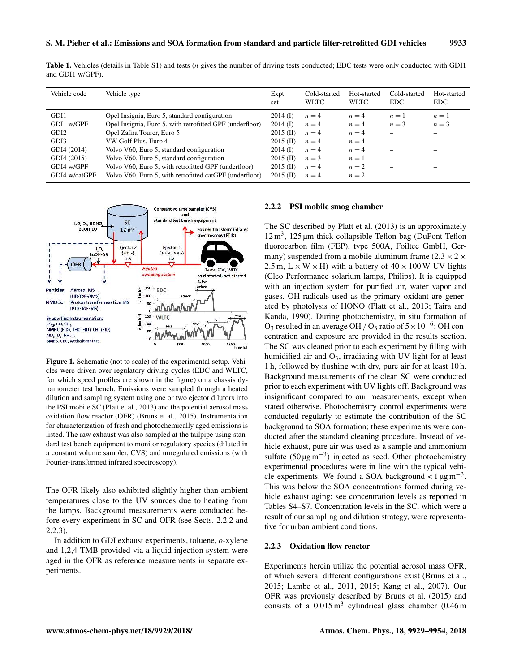Table 1. Vehicles (details in Table S1) and tests (n gives the number of driving tests conducted; EDC tests were only conducted with GDI1 and GDI1 w/GPF).

| Vehicle code     | Vehicle type                                             | Expt.<br>set | Cold-started<br><b>WLTC</b> | Hot-started<br><b>WLTC</b> | Cold-started<br>EDC. | Hot-started<br><b>EDC</b> |
|------------------|----------------------------------------------------------|--------------|-----------------------------|----------------------------|----------------------|---------------------------|
| GDI1             | Opel Insignia, Euro 5, standard configuration            | $2014$ (D)   | $n=4$                       | $n=4$                      | $n=1$                | $n=1$                     |
| GDI1 w/GPF       | Opel Insignia, Euro 5, with retrofitted GPF (underfloor) | $2014$ (D)   | $n = 4$                     | $n=4$                      | $n=3$                | $n = 3$                   |
| GDI <sub>2</sub> | Opel Zafira Tourer, Euro 5                               | $2015$ (II)  | $n = 4$                     | $n=4$                      | -                    |                           |
| GDI3             | VW Golf Plus, Euro 4                                     | $2015$ (II)  | $n = 4$                     | $n=4$                      |                      |                           |
| GDI4 (2014)      | Volvo V60, Euro 5, standard configuration                | $2014$ (I)   | $n=4$                       | $n=4$                      | -                    |                           |
| GDI4 (2015)      | Volvo V60, Euro 5, standard configuration                | $2015$ (II)  | $n=3$                       | $n=1$                      | -                    |                           |
| GDI4 w/GPF       | Volvo V60, Euro 5, with retrofitted GPF (underfloor)     | $2015$ (II)  | $n=4$                       | $n=2$                      |                      |                           |
| GDI4 w/catGPF    | Volvo V60, Euro 5, with retrofitted catGPF (underfloor)  | $2015$ (II)  | $n = 4$                     | $n=2$                      |                      |                           |



Figure 1. Schematic (not to scale) of the experimental setup. Vehicles were driven over regulatory driving cycles (EDC and WLTC, for which speed profiles are shown in the figure) on a chassis dynamometer test bench. Emissions were sampled through a heated dilution and sampling system using one or two ejector dilutors into the PSI mobile SC (Platt et al., 2013) and the potential aerosol mass oxidation flow reactor (OFR) (Bruns et al., 2015). Instrumentation for characterization of fresh and photochemically aged emissions is listed. The raw exhaust was also sampled at the tailpipe using standard test bench equipment to monitor regulatory species (diluted in a constant volume sampler, CVS) and unregulated emissions (with Fourier-transformed infrared spectroscopy).

The OFR likely also exhibited slightly higher than ambient temperatures close to the UV sources due to heating from the lamps. Background measurements were conducted before every experiment in SC and OFR (see Sects. 2.2.2 and 2.2.3).

In addition to GDI exhaust experiments, toluene, o-xylene and 1,2,4-TMB provided via a liquid injection system were aged in the OFR as reference measurements in separate experiments.

#### 2.2.2 PSI mobile smog chamber

The SC described by Platt et al. (2013) is an approximately  $12 \text{ m}^3$ ,  $125 \mu \text{m}$  thick collapsible Teflon bag (DuPont Teflon fluorocarbon film (FEP), type 500A, Foiltec GmbH, Germany) suspended from a mobile aluminum frame (2.3  $\times$  2  $\times$ 2.5 m,  $L \times W \times H$ ) with a battery of  $40 \times 100$  W UV lights (Cleo Performance solarium lamps, Philips). It is equipped with an injection system for purified air, water vapor and gases. OH radicals used as the primary oxidant are generated by photolysis of HONO (Platt et al., 2013; Taira and Kanda, 1990). During photochemistry, in situ formation of O<sub>3</sub> resulted in an average OH / O<sub>3</sub> ratio of  $5 \times 10^{-6}$ ; OH concentration and exposure are provided in the results section. The SC was cleaned prior to each experiment by filling with humidified air and  $O_3$ , irradiating with UV light for at least 1 h, followed by flushing with dry, pure air for at least 10 h. Background measurements of the clean SC were conducted prior to each experiment with UV lights off. Background was insignificant compared to our measurements, except when stated otherwise. Photochemistry control experiments were conducted regularly to estimate the contribution of the SC background to SOA formation; these experiments were conducted after the standard cleaning procedure. Instead of vehicle exhaust, pure air was used as a sample and ammonium sulfate  $(50 \,\text{µg m}^{-3})$  injected as seed. Other photochemistry experimental procedures were in line with the typical vehicle experiments. We found a SOA background <  $1 \mu g m^{-3}$ . This was below the SOA concentrations formed during vehicle exhaust aging; see concentration levels as reported in Tables S4–S7. Concentration levels in the SC, which were a result of our sampling and dilution strategy, were representative for urban ambient conditions.

#### 2.2.3 Oxidation flow reactor

Experiments herein utilize the potential aerosol mass OFR, of which several different configurations exist (Bruns et al., 2015; Lambe et al., 2011, 2015; Kang et al., 2007). Our OFR was previously described by Bruns et al. (2015) and consists of a  $0.015 \text{ m}^3$  cylindrical glass chamber  $(0.46 \text{ m})$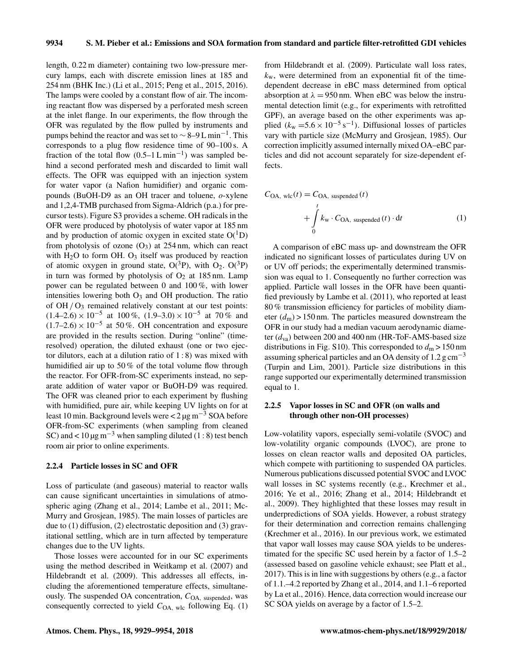length, 0.22 m diameter) containing two low-pressure mercury lamps, each with discrete emission lines at 185 and 254 nm (BHK Inc.) (Li et al., 2015; Peng et al., 2015, 2016). The lamps were cooled by a constant flow of air. The incoming reactant flow was dispersed by a perforated mesh screen at the inlet flange. In our experiments, the flow through the OFR was regulated by the flow pulled by instruments and pumps behind the reactor and was set to  $\sim$  8–9 L min<sup>-1</sup>. This corresponds to a plug flow residence time of 90–100 s. A fraction of the total flow  $(0.5-1 L \text{ min}^{-1})$  was sampled behind a second perforated mesh and discarded to limit wall effects. The OFR was equipped with an injection system for water vapor (a Nafion humidifier) and organic compounds (BuOH-D9 as an OH tracer and toluene, o-xylene and 1,2,4-TMB purchased from Sigma-Aldrich (p.a.) for precursor tests). Figure S3 provides a scheme. OH radicals in the OFR were produced by photolysis of water vapor at 185 nm and by production of atomic oxygen in excited state  $O(^1D)$ from photolysis of ozone  $(O_3)$  at 254 nm, which can react with  $H_2O$  to form OH.  $O_3$  itself was produced by reaction of atomic oxygen in ground state,  $O(^3P)$ , with  $O_2$ .  $O(^3P)$ in turn was formed by photolysis of  $O<sub>2</sub>$  at 185 nm. Lamp power can be regulated between 0 and 100 %, with lower intensities lowering both  $O_3$  and OH production. The ratio of  $OH / O<sub>3</sub>$  remained relatively constant at our test points:  $(1.4–2.6) \times 10^{-5}$  at 100%,  $(1.9–3.0) \times 10^{-5}$  at 70% and  $(1.7–2.6) \times 10^{-5}$  at 50%. OH concentration and exposure are provided in the results section. During "online" (timeresolved) operation, the diluted exhaust (one or two ejector dilutors, each at a dilution ratio of  $1:8$ ) was mixed with humidified air up to 50 % of the total volume flow through the reactor. For OFR-from-SC experiments instead, no separate addition of water vapor or BuOH-D9 was required. The OFR was cleaned prior to each experiment by flushing with humidified, pure air, while keeping UV lights on for at least 10 min. Background levels were <  $2 \mu$ g m<sup>-3</sup> SOA before OFR-from-SC experiments (when sampling from cleaned SC) and <  $10 \mu g$  m<sup>-3</sup> when sampling diluted (1 : 8) test bench room air prior to online experiments.

#### 2.2.4 Particle losses in SC and OFR

Loss of particulate (and gaseous) material to reactor walls can cause significant uncertainties in simulations of atmospheric aging (Zhang et al., 2014; Lambe et al., 2011; Mc-Murry and Grosjean, 1985). The main losses of particles are due to (1) diffusion, (2) electrostatic deposition and (3) gravitational settling, which are in turn affected by temperature changes due to the UV lights.

Those losses were accounted for in our SC experiments using the method described in Weitkamp et al. (2007) and Hildebrandt et al. (2009). This addresses all effects, including the aforementioned temperature effects, simultaneously. The suspended OA concentration,  $C_{OA}$ , suspended, was consequently corrected to yield  $C_{OA, \text{wlc}}$  following Eq. (1) from Hildebrandt et al. (2009). Particulate wall loss rates,  $k_{w}$ , were determined from an exponential fit of the timedependent decrease in eBC mass determined from optical absorption at  $\lambda = 950$  nm. When eBC was below the instrumental detection limit (e.g., for experiments with retrofitted GPF), an average based on the other experiments was applied ( $k_{\rm w}$  = 5.6 × 10<sup>-5</sup> s<sup>-1</sup>). Diffusional losses of particles vary with particle size (McMurry and Grosjean, 1985). Our correction implicitly assumed internally mixed OA–eBC particles and did not account separately for size-dependent effects.

$$
C_{\text{OA, wlc}}(t) = C_{\text{OA, suspended}}(t)
$$
  
+ 
$$
\int_{0}^{t} k_{\text{w}} \cdot C_{\text{OA, suspended}}(t) \cdot dt
$$
 (1)

A comparison of eBC mass up- and downstream the OFR indicated no significant losses of particulates during UV on or UV off periods; the experimentally determined transmission was equal to 1. Consequently no further correction was applied. Particle wall losses in the OFR have been quantified previously by Lambe et al. (2011), who reported at least 80 % transmission efficiency for particles of mobility diameter  $(d_m)$  > 150 nm. The particles measured downstream the OFR in our study had a median vacuum aerodynamic diameter  $(d_{\text{va}})$  between 200 and 400 nm (HR-ToF-AMS-based size distributions in Fig. S10). This corresponded to  $d_m > 150$  nm assuming spherical particles and an OA density of 1.2  $\rm g \, cm^{-3}$ (Turpin and Lim, 2001). Particle size distributions in this range supported our experimentally determined transmission equal to 1.

## 2.2.5 Vapor losses in SC and OFR (on walls and through other non-OH processes)

Low-volatility vapors, especially semi-volatile (SVOC) and low-volatility organic compounds (LVOC), are prone to losses on clean reactor walls and deposited OA particles, which compete with partitioning to suspended OA particles. Numerous publications discussed potential SVOC and LVOC wall losses in SC systems recently (e.g., Krechmer et al., 2016; Ye et al., 2016; Zhang et al., 2014; Hildebrandt et al., 2009). They highlighted that these losses may result in underpredictions of SOA yields. However, a robust strategy for their determination and correction remains challenging (Krechmer et al., 2016). In our previous work, we estimated that vapor wall losses may cause SOA yields to be underestimated for the specific SC used herein by a factor of 1.5–2 (assessed based on gasoline vehicle exhaust; see Platt et al., 2017). This is in line with suggestions by others (e.g., a factor of 1.1.–4.2 reported by Zhang et al., 2014, and 1.1–6 reported by La et al., 2016). Hence, data correction would increase our SC SOA yields on average by a factor of 1.5–2.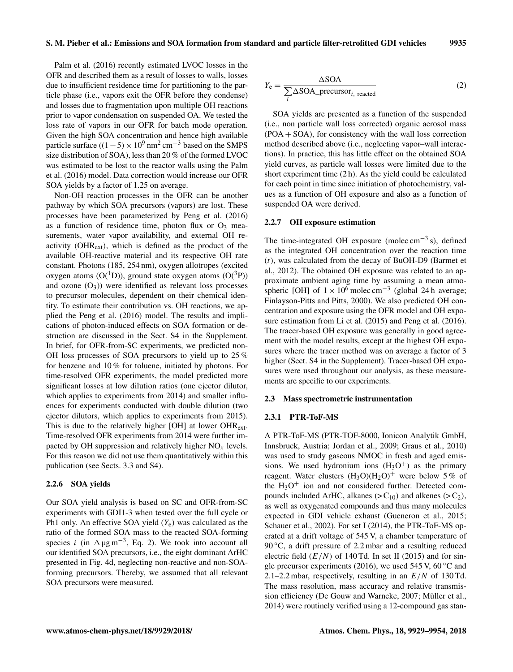Palm et al. (2016) recently estimated LVOC losses in the OFR and described them as a result of losses to walls, losses due to insufficient residence time for partitioning to the particle phase (i.e., vapors exit the OFR before they condense) and losses due to fragmentation upon multiple OH reactions prior to vapor condensation on suspended OA. We tested the loss rate of vapors in our OFR for batch mode operation. Given the high SOA concentration and hence high available particle surface  $((1 – 5) \times 10^9 \text{ nm}^2 \text{ cm}^{-3}$  based on the SMPS size distribution of SOA), less than 20 % of the formed LVOC was estimated to be lost to the reactor walls using the Palm et al. (2016) model. Data correction would increase our OFR SOA yields by a factor of 1.25 on average.

Non-OH reaction processes in the OFR can be another pathway by which SOA precursors (vapors) are lost. These processes have been parameterized by Peng et al. (2016) as a function of residence time, photon flux or  $O_3$  measurements, water vapor availability, and external OH reactivity (OHRext), which is defined as the product of the available OH-reactive material and its respective OH rate constant. Photons (185, 254 nm), oxygen allotropes (excited oxygen atoms  $(O(^{1}D))$ , ground state oxygen atoms  $(O(^{3}P))$ and ozone  $(O_3)$ ) were identified as relevant loss processes to precursor molecules, dependent on their chemical identity. To estimate their contribution vs. OH reactions, we applied the Peng et al. (2016) model. The results and implications of photon-induced effects on SOA formation or destruction are discussed in the Sect. S4 in the Supplement. In brief, for OFR-from-SC experiments, we predicted non-OH loss processes of SOA precursors to yield up to 25 % for benzene and 10 % for toluene, initiated by photons. For time-resolved OFR experiments, the model predicted more significant losses at low dilution ratios (one ejector dilutor, which applies to experiments from 2014) and smaller influences for experiments conducted with double dilution (two ejector dilutors, which applies to experiments from 2015). This is due to the relatively higher [OH] at lower OHRext. Time-resolved OFR experiments from 2014 were further impacted by OH suppression and relatively higher  $NO<sub>x</sub>$  levels. For this reason we did not use them quantitatively within this publication (see Sects. 3.3 and S4).

#### 2.2.6 SOA yields

Our SOA yield analysis is based on SC and OFR-from-SC experiments with GDI1-3 when tested over the full cycle or Ph1 only. An effective SOA yield  $(Y_e)$  was calculated as the ratio of the formed SOA mass to the reacted SOA-forming species *i* (in  $\Delta \mu g m^{-3}$ , Eq. 2). We took into account all our identified SOA precursors, i.e., the eight dominant ArHC presented in Fig. 4d, neglecting non-reactive and non-SOAforming precursors. Thereby, we assumed that all relevant SOA precursors were measured.

$$
Y_{\rm e} = \frac{\Delta SOA}{\sum_{i} \Delta SOA_{\rm -} \text{precursor}_{i, \text{ reacted}}}
$$
 (2)

SOA yields are presented as a function of the suspended (i.e., non particle wall loss corrected) organic aerosol mass (POA + SOA), for consistency with the wall loss correction method described above (i.e., neglecting vapor–wall interactions). In practice, this has little effect on the obtained SOA yield curves, as particle wall losses were limited due to the short experiment time (2 h). As the yield could be calculated for each point in time since initiation of photochemistry, values as a function of OH exposure and also as a function of suspended OA were derived.

#### 2.2.7 OH exposure estimation

The time-integrated OH exposure (molec cm<sup>-3</sup>s), defined as the integrated OH concentration over the reaction time  $(t)$ , was calculated from the decay of BuOH-D9 (Barmet et al., 2012). The obtained OH exposure was related to an approximate ambient aging time by assuming a mean atmospheric [OH] of  $1 \times 10^6$  molec cm<sup>-3</sup> (global 24 h average; Finlayson-Pitts and Pitts, 2000). We also predicted OH concentration and exposure using the OFR model and OH exposure estimation from Li et al. (2015) and Peng et al. (2016). The tracer-based OH exposure was generally in good agreement with the model results, except at the highest OH exposures where the tracer method was on average a factor of 3 higher (Sect. S4 in the Supplement). Tracer-based OH exposures were used throughout our analysis, as these measurements are specific to our experiments.

#### 2.3 Mass spectrometric instrumentation

#### 2.3.1 PTR-ToF-MS

A PTR-ToF-MS (PTR-TOF-8000, Ionicon Analytik GmbH, Innsbruck, Austria; Jordan et al., 2009; Graus et al., 2010) was used to study gaseous NMOC in fresh and aged emissions. We used hydronium ions  $(H<sub>3</sub>O<sup>+</sup>)$  as the primary reagent. Water clusters  $(H_3O)(H_2O)^+$  were below 5% of the  $H_3O^+$  ion and not considered further. Detected compounds included ArHC, alkanes  $(> C_{10})$  and alkenes  $(> C_2)$ , as well as oxygenated compounds and thus many molecules expected in GDI vehicle exhaust (Gueneron et al., 2015; Schauer et al., 2002). For set I (2014), the PTR-ToF-MS operated at a drift voltage of 545 V, a chamber temperature of 90  $\degree$ C, a drift pressure of 2.2 mbar and a resulting reduced electric field  $(E/N)$  of 140 Td. In set II (2015) and for single precursor experiments (2016), we used 545 V, 60 $\degree$ C and 2.1–2.2 mbar, respectively, resulting in an  $E/N$  of 130 Td. The mass resolution, mass accuracy and relative transmission efficiency (De Gouw and Warneke, 2007; Müller et al., 2014) were routinely verified using a 12-compound gas stan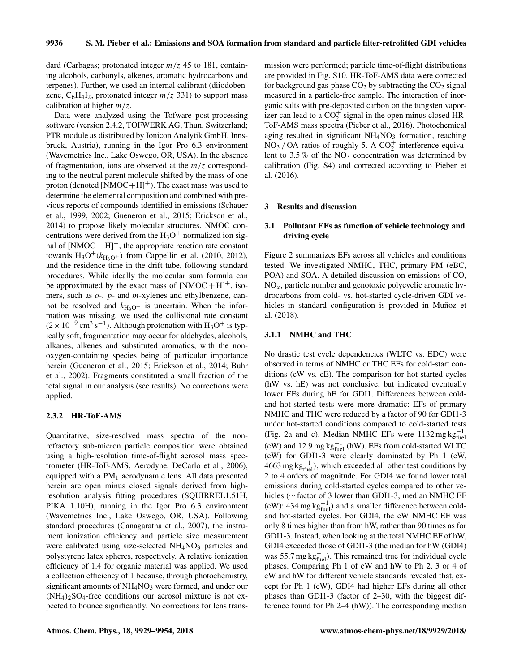dard (Carbagas; protonated integer  $m/z$  45 to 181, containing alcohols, carbonyls, alkenes, aromatic hydrocarbons and terpenes). Further, we used an internal calibrant (diiodobenzene,  $C_6H_4I_2$ , protonated integer  $m/z$  331) to support mass calibration at higher  $m/z$ .

Data were analyzed using the Tofware post-processing software (version 2.4.2, TOFWERK AG, Thun, Switzerland; PTR module as distributed by Ionicon Analytik GmbH, Innsbruck, Austria), running in the Igor Pro 6.3 environment (Wavemetrics Inc., Lake Oswego, OR, USA). In the absence of fragmentation, ions are observed at the  $m/z$  corresponding to the neutral parent molecule shifted by the mass of one proton (denoted  $[NMOC+H]^+$ ). The exact mass was used to determine the elemental composition and combined with previous reports of compounds identified in emissions (Schauer et al., 1999, 2002; Gueneron et al., 2015; Erickson et al., 2014) to propose likely molecular structures. NMOC concentrations were derived from the  $H_3O^+$  normalized ion signal of  $[NMOC + H]^+$ , the appropriate reaction rate constant towards  $H_3O^+(k_{H_3O^+})$  from Cappellin et al. (2010, 2012), and the residence time in the drift tube, following standard procedures. While ideally the molecular sum formula can be approximated by the exact mass of  $[NMOC + H]^{+}$ , isomers, such as  $o$ -,  $p$ - and  $m$ -xylenes and ethylbenzene, cannot be resolved and  $k_{\text{H}_3\text{O}^+}$  is uncertain. When the information was missing, we used the collisional rate constant  $(2 \times 10^{-9} \text{ cm}^3 \text{ s}^{-1})$ . Although protonation with H<sub>3</sub>O<sup>+</sup> is typically soft, fragmentation may occur for aldehydes, alcohols, alkanes, alkenes and substituted aromatics, with the nonoxygen-containing species being of particular importance herein (Gueneron et al., 2015; Erickson et al., 2014; Buhr et al., 2002). Fragments constituted a small fraction of the total signal in our analysis (see results). No corrections were applied.

#### 2.3.2 HR-ToF-AMS

Quantitative, size-resolved mass spectra of the nonrefractory sub-micron particle composition were obtained using a high-resolution time-of-flight aerosol mass spectrometer (HR-ToF-AMS, Aerodyne, DeCarlo et al., 2006), equipped with a  $PM<sub>1</sub>$  aerodynamic lens. All data presented herein are open minus closed signals derived from highresolution analysis fitting procedures (SQUIRREL1.51H, PIKA 1.10H), running in the Igor Pro 6.3 environment (Wavemetrics Inc., Lake Oswego, OR, USA). Following standard procedures (Canagaratna et al., 2007), the instrument ionization efficiency and particle size measurement were calibrated using size-selected  $NH<sub>4</sub>NO<sub>3</sub>$  particles and polystyrene latex spheres, respectively. A relative ionization efficiency of 1.4 for organic material was applied. We used a collection efficiency of 1 because, through photochemistry, significant amounts of  $NH<sub>4</sub>NO<sub>3</sub>$  were formed, and under our  $(NH_4)_2SO_4$ -free conditions our aerosol mixture is not expected to bounce significantly. No corrections for lens transmission were performed; particle time-of-flight distributions are provided in Fig. S10. HR-ToF-AMS data were corrected for background gas-phase  $CO<sub>2</sub>$  by subtracting the  $CO<sub>2</sub>$  signal measured in a particle-free sample. The interaction of inorganic salts with pre-deposited carbon on the tungsten vaporizer can lead to a  $CO_2^+$  signal in the open minus closed HR-ToF-AMS mass spectra (Pieber et al., 2016). Photochemical aging resulted in significant  $NH<sub>4</sub>NO<sub>3</sub>$  formation, reaching  $NO<sub>3</sub>/OA$  ratios of roughly 5. A  $CO<sub>2</sub><sup>+</sup>$  interference equivalent to 3.5 % of the  $NO<sub>3</sub>$  concentration was determined by calibration (Fig. S4) and corrected according to Pieber et al. (2016).

#### 3 Results and discussion

## 3.1 Pollutant EFs as function of vehicle technology and driving cycle

Figure 2 summarizes EFs across all vehicles and conditions tested. We investigated NMHC, THC, primary PM (eBC, POA) and SOA. A detailed discussion on emissions of CO,  $NO<sub>x</sub>$ , particle number and genotoxic polycyclic aromatic hydrocarbons from cold- vs. hot-started cycle-driven GDI vehicles in standard configuration is provided in Muñoz et al. (2018).

#### 3.1.1 NMHC and THC

No drastic test cycle dependencies (WLTC vs. EDC) were observed in terms of NMHC or THC EFs for cold-start conditions (cW vs. cE). The comparison for hot-started cycles (hW vs. hE) was not conclusive, but indicated eventually lower EFs during hE for GDI1. Differences between coldand hot-started tests were more dramatic: EFs of primary NMHC and THC were reduced by a factor of 90 for GDI1-3 under hot-started conditions compared to cold-started tests (Fig. 2a and c). Median NMHC EFs were  $1132 \text{ mg} \text{ kg}_{\text{fuel}}^{-1}$ (cW) and 12.9 mg  $kg_{fuel}^{-1}$  (hW). EFs from cold-started WLTC (cW) for GDI1-3 were clearly dominated by Ph 1 (cW, 4663 mg kg $_{\text{fuel}}^{-1}$ ), which exceeded all other test conditions by 2 to 4 orders of magnitude. For GDI4 we found lower total emissions during cold-started cycles compared to other vehicles (∼ factor of 3 lower than GDI1-3, median NMHC EF (cW): 434 mg  $kg_{fuel}^{-1}$ ) and a smaller difference between coldand hot-started cycles. For GDI4, the cW NMHC EF was only 8 times higher than from hW, rather than 90 times as for GDI1-3. Instead, when looking at the total NMHC EF of hW, GDI4 exceeded those of GDI1-3 (the median for hW (GDI4) was 55.7 mg  $kg_{fuel}^{-1}$ ). This remained true for individual cycle phases. Comparing Ph 1 of cW and hW to Ph 2, 3 or 4 of cW and hW for different vehicle standards revealed that, except for Ph 1 (cW), GDI4 had higher EFs during all other phases than GDI1-3 (factor of 2–30, with the biggest difference found for Ph 2–4 (hW)). The corresponding median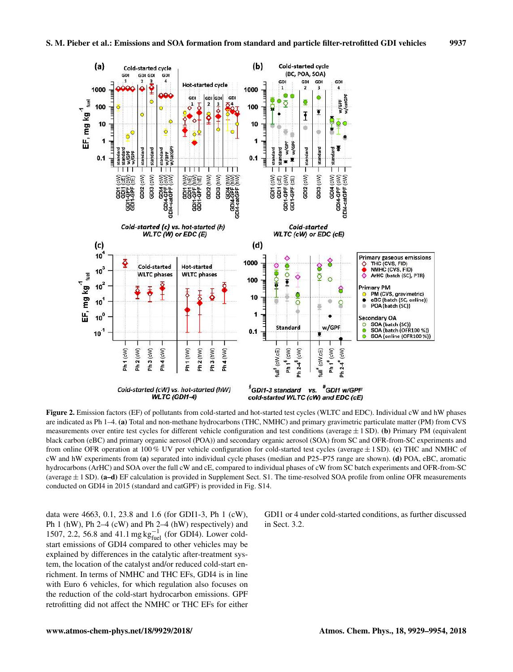

Figure 2. Emission factors (EF) of pollutants from cold-started and hot-started test cycles (WLTC and EDC). Individual cW and hW phases are indicated as Ph 1–4. (a) Total and non-methane hydrocarbons (THC, NMHC) and primary gravimetric particulate matter (PM) from CVS measurements over entire test cycles for different vehicle configuration and test conditions (average  $\pm$  1 SD). (b) Primary PM (equivalent black carbon (eBC) and primary organic aerosol (POA)) and secondary organic aerosol (SOA) from SC and OFR-from-SC experiments and from online OFR operation at 100 % UV per vehicle configuration for cold-started test cycles (average  $\pm$  1 SD). (c) THC and NMHC of cW and hW experiments from (a) separated into individual cycle phases (median and P25–P75 range are shown). (d) POA, eBC, aromatic hydrocarbons (ArHC) and SOA over the full cW and cE, compared to individual phases of cW from SC batch experiments and OFR-from-SC (average  $\pm$  1 SD). (a–d) EF calculation is provided in Supplement Sect. S1. The time-resolved SOA profile from online OFR measurements conducted on GDI4 in 2015 (standard and catGPF) is provided in Fig. S14.

data were 4663, 0.1, 23.8 and 1.6 (for GDI1-3, Ph 1 (cW), Ph 1 (hW), Ph 2–4 (cW) and Ph 2–4 (hW) respectively) and 1507, 2.2, 56.8 and 41.1 mg  $kg_{fuel}^{-1}$  (for GDI4). Lower coldstart emissions of GDI4 compared to other vehicles may be explained by differences in the catalytic after-treatment system, the location of the catalyst and/or reduced cold-start enrichment. In terms of NMHC and THC EFs, GDI4 is in line with Euro 6 vehicles, for which regulation also focuses on the reduction of the cold-start hydrocarbon emissions. GPF retrofitting did not affect the NMHC or THC EFs for either GDI1 or 4 under cold-started conditions, as further discussed in Sect. 3.2.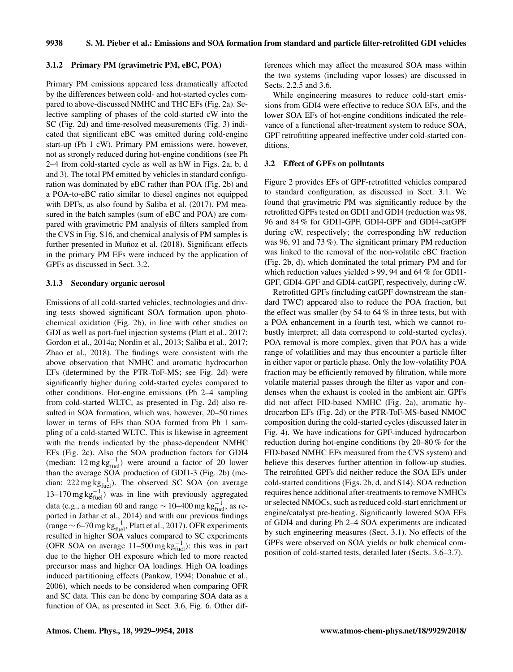9938 S. M. Pieber et al.: Emissions and SOA formation from standard and particle filter-retrofitted GDI vehicles

#### 3.1.2 Primary PM (gravimetric PM, eBC, POA)

Primary PM emissions appeared less dramatically affected by the differences between cold- and hot-started cycles compared to above-discussed NMHC and THC EFs (Fig. 2a). Selective sampling of phases of the cold-started cW into the SC (Fig. 2d) and time-resolved measurements (Fig. 3) indicated that significant eBC was emitted during cold-engine start-up (Ph 1 cW). Primary PM emissions were, however, not as strongly reduced during hot-engine conditions (see Ph 2–4 from cold-started cycle as well as hW in Figs. 2a, b, d and 3). The total PM emitted by vehicles in standard configuration was dominated by eBC rather than POA (Fig. 2b) and a POA-to-eBC ratio similar to diesel engines not equipped with DPFs, as also found by Saliba et al. (2017). PM measured in the batch samples (sum of eBC and POA) are compared with gravimetric PM analysis of filters sampled from the CVS in Fig. S16, and chemical analysis of PM samples is further presented in Muñoz et al. (2018). Significant effects in the primary PM EFs were induced by the application of GPFs as discussed in Sect. 3.2.

## 3.1.3 Secondary organic aerosol

Emissions of all cold-started vehicles, technologies and driving tests showed significant SOA formation upon photochemical oxidation (Fig. 2b), in line with other studies on GDI as well as port-fuel injection systems (Platt et al., 2017; Gordon et al., 2014a; Nordin et al., 2013; Saliba et al., 2017; Zhao et al., 2018). The findings were consistent with the above observation that NMHC and aromatic hydrocarbon EFs (determined by the PTR-ToF-MS; see Fig. 2d) were significantly higher during cold-started cycles compared to other conditions. Hot-engine emissions (Ph 2–4 sampling from cold-started WLTC, as presented in Fig. 2d) also resulted in SOA formation, which was, however, 20–50 times lower in terms of EFs than SOA formed from Ph 1 sampling of a cold-started WLTC. This is likewise in agreement with the trends indicated by the phase-dependent NMHC EFs (Fig. 2c). Also the SOA production factors for GDI4 (median:  $12 \text{ mg} \text{ kg}_{\text{fuel}}^{-1}$ ) were around a factor of 20 lower than the average SOA production of GDI1-3 (Fig. 2b) (median: 222 mg kg $^{-1}$ ). The observed SC SOA (on average 13–170 mg kg $_{\text{fuel}}^{-1}$ ) was in line with previously aggregated data (e.g., a median 60 and range  $\sim$  10–400 mg kg $_{\rm fuel}^{-1}$ , as reported in Jathar et al., 2014) and with our previous findings (range  $\sim$  6–70 mg kg $_{\text{fuel}}^{-1}$ , Platt et al., 2017). OFR experiments resulted in higher SOA values compared to SC experiments (OFR SOA on average 11–500 mg  $kg_{fuel}^{-1}$ ): this was in part due to the higher OH exposure which led to more reacted precursor mass and higher OA loadings. High OA loadings induced partitioning effects (Pankow, 1994; Donahue et al., 2006), which needs to be considered when comparing OFR and SC data. This can be done by comparing SOA data as a function of OA, as presented in Sect. 3.6, Fig. 6. Other differences which may affect the measured SOA mass within the two systems (including vapor losses) are discussed in Sects. 2.2.5 and 3.6.

While engineering measures to reduce cold-start emissions from GDI4 were effective to reduce SOA EFs, and the lower SOA EFs of hot-engine conditions indicated the relevance of a functional after-treatment system to reduce SOA, GPF retrofitting appeared ineffective under cold-started conditions.

#### 3.2 Effect of GPFs on pollutants

Figure 2 provides EFs of GPF-retrofitted vehicles compared to standard configuration, as discussed in Sect. 3.1. We found that gravimetric PM was significantly reduce by the retrofitted GPFs tested on GDI1 and GDI4 (reduction was 98, 96 and 84 % for GDI1-GPF, GDI4-GPF and GDI4-catGPF during cW, respectively; the corresponding hW reduction was 96, 91 and 73 %). The significant primary PM reduction was linked to the removal of the non-volatile eBC fraction (Fig. 2b, d), which dominated the total primary PM and for which reduction values yielded  $> 99$ , 94 and 64 % for GDI1-GPF, GDI4-GPF and GDI4-catGPF, respectively, during cW.

Retrofitted GPFs (including catGPF downstream the standard TWC) appeared also to reduce the POA fraction, but the effect was smaller (by 54 to  $64\%$  in three tests, but with a POA enhancement in a fourth test, which we cannot robustly interpret; all data correspond to cold-started cycles). POA removal is more complex, given that POA has a wide range of volatilities and may thus encounter a particle filter in either vapor or particle phase. Only the low-volatility POA fraction may be efficiently removed by filtration, while more volatile material passes through the filter as vapor and condenses when the exhaust is cooled in the ambient air. GPFs did not affect FID-based NMHC (Fig. 2a), aromatic hydrocarbon EFs (Fig. 2d) or the PTR-ToF-MS-based NMOC composition during the cold-started cycles (discussed later in Fig. 4). We have indications for GPF-induced hydrocarbon reduction during hot-engine conditions (by 20–80 % for the FID-based NMHC EFs measured from the CVS system) and believe this deserves further attention in follow-up studies. The retrofitted GPFs did neither reduce the SOA EFs under cold-started conditions (Figs. 2b, d, and S14). SOA reduction requires hence additional after-treatments to remove NMHCs or selected NMOCs, such as reduced cold-start enrichment or engine/catalyst pre-heating. Significantly lowered SOA EFs of GDI4 and during Ph 2–4 SOA experiments are indicated by such engineering measures (Sect. 3.1). No effects of the GPFs were observed on SOA yields or bulk chemical composition of cold-started tests, detailed later (Sects. 3.6–3.7).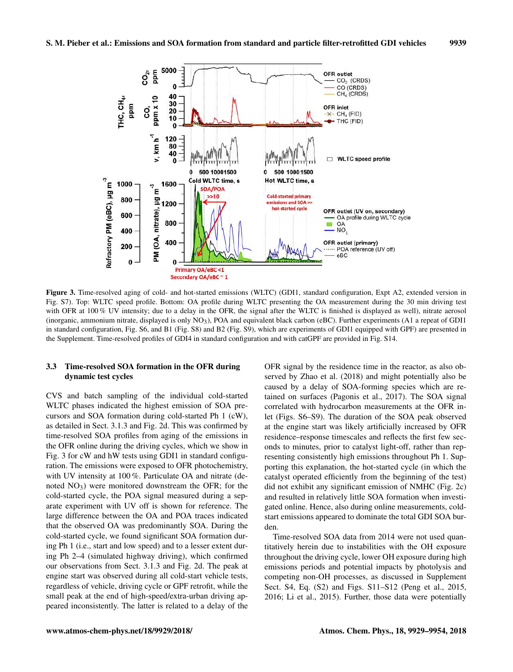

Figure 3. Time-resolved aging of cold- and hot-started emissions (WLTC) (GDI1, standard configuration, Expt A2, extended version in Fig. S7). Top: WLTC speed profile. Bottom: OA profile during WLTC presenting the OA measurement during the 30 min driving test with OFR at 100 % UV intensity; due to a delay in the OFR, the signal after the WLTC is finished is displayed as well), nitrate aerosol (inorganic, ammonium nitrate, displayed is only NO3), POA and equivalent black carbon (eBC). Further experiments (A1 a repeat of GDI1 in standard configuration, Fig. S6, and B1 (Fig. S8) and B2 (Fig. S9), which are experiments of GDI1 equipped with GPF) are presented in the Supplement. Time-resolved profiles of GDI4 in standard configuration and with catGPF are provided in Fig. S14.

## 3.3 Time-resolved SOA formation in the OFR during dynamic test cycles

CVS and batch sampling of the individual cold-started WLTC phases indicated the highest emission of SOA precursors and SOA formation during cold-started Ph 1 (cW), as detailed in Sect. 3.1.3 and Fig. 2d. This was confirmed by time-resolved SOA profiles from aging of the emissions in the OFR online during the driving cycles, which we show in Fig. 3 for cW and hW tests using GDI1 in standard configuration. The emissions were exposed to OFR photochemistry, with UV intensity at 100%. Particulate OA and nitrate (denoted  $NO<sub>3</sub>$ ) were monitored downstream the OFR; for the cold-started cycle, the POA signal measured during a separate experiment with UV off is shown for reference. The large difference between the OA and POA traces indicated that the observed OA was predominantly SOA. During the cold-started cycle, we found significant SOA formation during Ph 1 (i.e., start and low speed) and to a lesser extent during Ph 2–4 (simulated highway driving), which confirmed our observations from Sect. 3.1.3 and Fig. 2d. The peak at engine start was observed during all cold-start vehicle tests, regardless of vehicle, driving cycle or GPF retrofit, while the small peak at the end of high-speed/extra-urban driving appeared inconsistently. The latter is related to a delay of the OFR signal by the residence time in the reactor, as also observed by Zhao et al. (2018) and might potentially also be caused by a delay of SOA-forming species which are retained on surfaces (Pagonis et al., 2017). The SOA signal correlated with hydrocarbon measurements at the OFR inlet (Figs. S6–S9). The duration of the SOA peak observed at the engine start was likely artificially increased by OFR residence–response timescales and reflects the first few seconds to minutes, prior to catalyst light-off, rather than representing consistently high emissions throughout Ph 1. Supporting this explanation, the hot-started cycle (in which the catalyst operated efficiently from the beginning of the test) did not exhibit any significant emission of NMHC (Fig. 2c) and resulted in relatively little SOA formation when investigated online. Hence, also during online measurements, coldstart emissions appeared to dominate the total GDI SOA burden.

Time-resolved SOA data from 2014 were not used quantitatively herein due to instabilities with the OH exposure throughout the driving cycle, lower OH exposure during high emissions periods and potential impacts by photolysis and competing non-OH processes, as discussed in Supplement Sect. S4, Eq. (S2) and Figs. S11–S12 (Peng et al., 2015, 2016; Li et al., 2015). Further, those data were potentially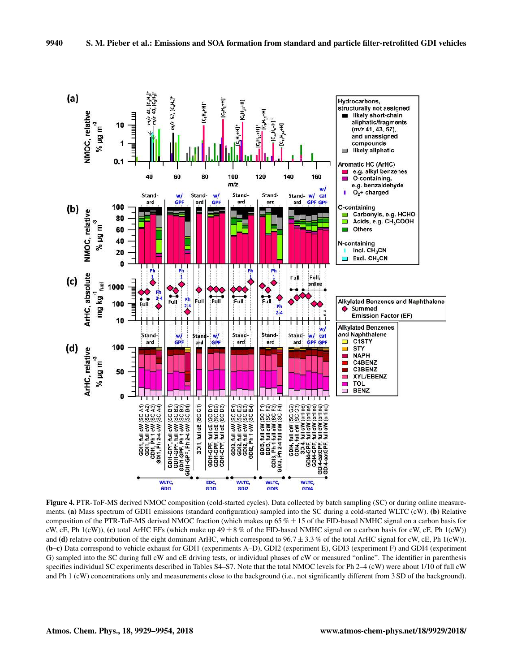

Figure 4. PTR-ToF-MS derived NMOC composition (cold-started cycles). Data collected by batch sampling (SC) or during online measurements. (a) Mass spectrum of GDI1 emissions (standard configuration) sampled into the SC during a cold-started WLTC (cW). (b) Relative composition of the PTR-ToF-MS derived NMOC fraction (which makes up  $65\% \pm 15$  of the FID-based NMHC signal on a carbon basis for cW, cE, Ph 1(cW)), (c) total ArHC EFs (which make up  $49 \pm 8\%$  of the FID-based NMHC signal on a carbon basis for cW, cE, Ph 1(cW)) and (d) relative contribution of the eight dominant ArHC, which correspond to  $96.7 \pm 3.3$  % of the total ArHC signal for cW, cE, Ph 1(cW)). (b–c) Data correspond to vehicle exhaust for GDI1 (experiments A–D), GDI2 (experiment E), GDI3 (experiment F) and GDI4 (experiment G) sampled into the SC during full cW and cE driving tests, or individual phases of cW or measured "online". The identifier in parenthesis specifies individual SC experiments described in Tables S4–S7. Note that the total NMOC levels for Ph 2–4 (cW) were about 1/10 of full cW and Ph 1 (cW) concentrations only and measurements close to the background (i.e., not significantly different from 3 SD of the background).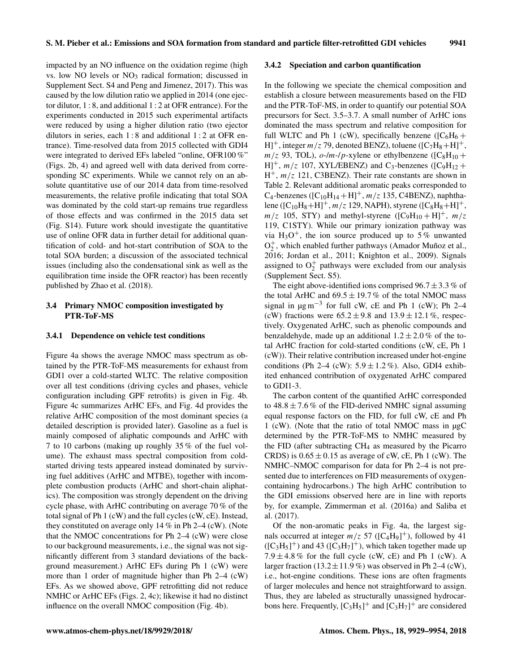impacted by an NO influence on the oxidation regime (high vs. low NO levels or NO<sub>3</sub> radical formation; discussed in Supplement Sect. S4 and Peng and Jimenez, 2017). This was caused by the low dilution ratio we applied in 2014 (one ejector dilutor, 1 : 8, and additional 1 : 2 at OFR entrance). For the experiments conducted in 2015 such experimental artifacts were reduced by using a higher dilution ratio (two ejector dilutors in series, each 1 : 8 and additional 1 : 2 at OFR entrance). Time-resolved data from 2015 collected with GDI4 were integrated to derived EFs labeled "online, OFR100%" (Figs. 2b, 4) and agreed well with data derived from corresponding SC experiments. While we cannot rely on an absolute quantitative use of our 2014 data from time-resolved measurements, the relative profile indicating that total SOA was dominated by the cold start-up remains true regardless of those effects and was confirmed in the 2015 data set (Fig. S14). Future work should investigate the quantitative use of online OFR data in further detail for additional quantification of cold- and hot-start contribution of SOA to the total SOA burden; a discussion of the associated technical issues (including also the condensational sink as well as the equilibration time inside the OFR reactor) has been recently published by Zhao et al. (2018).

## 3.4 Primary NMOC composition investigated by PTR-ToF-MS

#### 3.4.1 Dependence on vehicle test conditions

Figure 4a shows the average NMOC mass spectrum as obtained by the PTR-ToF-MS measurements for exhaust from GDI1 over a cold-started WLTC. The relative composition over all test conditions (driving cycles and phases, vehicle configuration including GPF retrofits) is given in Fig. 4b. Figure 4c summarizes ArHC EFs, and Fig. 4d provides the relative ArHC composition of the most dominant species (a detailed description is provided later). Gasoline as a fuel is mainly composed of aliphatic compounds and ArHC with 7 to 10 carbons (making up roughly 35 % of the fuel volume). The exhaust mass spectral composition from coldstarted driving tests appeared instead dominated by surviving fuel additives (ArHC and MTBE), together with incomplete combustion products (ArHC and short-chain aliphatics). The composition was strongly dependent on the driving cycle phase, with ArHC contributing on average 70 % of the total signal of Ph 1 (cW) and the full cycles (cW, cE). Instead, they constituted on average only 14 % in Ph 2–4 (cW). (Note that the NMOC concentrations for Ph 2–4 (cW) were close to our background measurements, i.e., the signal was not significantly different from 3 standard deviations of the background measurement.) ArHC EFs during Ph 1 (cW) were more than 1 order of magnitude higher than Ph 2–4 (cW) EFs. As we showed above, GPF retrofitting did not reduce NMHC or ArHC EFs (Figs. 2, 4c); likewise it had no distinct influence on the overall NMOC composition (Fig. 4b).

#### 3.4.2 Speciation and carbon quantification

In the following we speciate the chemical composition and establish a closure between measurements based on the FID and the PTR-ToF-MS, in order to quantify our potential SOA precursors for Sect. 3.5–3.7. A small number of ArHC ions dominated the mass spectrum and relative composition for full WLTC and Ph 1 (cW), specifically benzene ( $[C_6H_6 +$ H]<sup>+</sup>, integer  $m/z$  79, denoted BENZ), toluene ([C<sub>7</sub>H<sub>8</sub>+H]<sup>+</sup>,  $m/z$  93, TOL), o-/m-/p-xylene or ethylbenzene ([C<sub>8</sub>H<sub>10</sub> +  $H$ <sup>+</sup>,  $m/z$  107, XYL/EBENZ) and C<sub>3</sub>-benzenes ([C<sub>9</sub>H<sub>12</sub> +  $H^+$ ,  $m/z$  121, C3BENZ). Their rate constants are shown in Table 2. Relevant additional aromatic peaks corresponded to  $C_4$ -benzenes ([ $C_{10}H_{14} + H$ ]<sup>+</sup>,  $m/z$  135, C4BENZ), naphthalene ([C<sub>10</sub>H<sub>8</sub>+H]<sup>+</sup>, *m*/z 129, NAPH), styrene ([C<sub>8</sub>H<sub>8</sub>+H]<sup>+</sup>,  $m/z$  105, STY) and methyl-styrene ([C<sub>9</sub>H<sub>10</sub> + H]<sup>+</sup>,  $m/z$ 119, C1STY). While our primary ionization pathway was via H<sub>3</sub>O<sup>+</sup>, the ion source produced up to 5% unwanted O<sub>2</sub><sup>+</sup>, which enabled further pathways (Amador Muñoz et al., 2016; Jordan et al., 2011; Knighton et al., 2009). Signals assigned to  $O_2^+$  pathways were excluded from our analysis (Supplement Sect. S5).

The eight above-identified ions comprised  $96.7 \pm 3.3$  % of the total ArHC and  $69.5 \pm 19.7\%$  of the total NMOC mass signal in  $\mu$ g m<sup>-3</sup> for full cW, cE and Ph 1 (cW); Ph 2–4 (cW) fractions were  $65.2 \pm 9.8$  and  $13.9 \pm 12.1$ %, respectively. Oxygenated ArHC, such as phenolic compounds and benzaldehyde, made up an additional  $1.2 \pm 2.0\%$  of the total ArHC fraction for cold-started conditions (cW, cE, Ph 1 (cW)). Their relative contribution increased under hot-engine conditions (Ph 2–4 (cW):  $5.9 \pm 1.2\%$ ). Also, GDI4 exhibited enhanced contribution of oxygenated ArHC compared to GDI1-3.

The carbon content of the quantified ArHC corresponded to  $48.8 \pm 7.6\%$  of the FID-derived NMHC signal assuming equal response factors on the FID, for full cW, cE and Ph 1 (cW). (Note that the ratio of total NMOC mass in µgC determined by the PTR-ToF-MS to NMHC measured by the FID (after subtracting  $CH<sub>4</sub>$  as measured by the Picarro CRDS) is  $0.65 \pm 0.15$  as average of cW, cE, Ph 1 (cW). The NMHC–NMOC comparison for data for Ph 2–4 is not presented due to interferences on FID measurements of oxygencontaining hydrocarbons.) The high ArHC contribution to the GDI emissions observed here are in line with reports by, for example, Zimmerman et al. (2016a) and Saliba et al. (2017).

Of the non-aromatic peaks in Fig. 4a, the largest signals occurred at integer  $m/z$  57 ([C<sub>4</sub>H<sub>9</sub>]<sup>+</sup>), followed by 41  $([C_3H_5]^+)$  and 43  $([C_3H_7]^+)$ , which taken together made up  $7.9 \pm 4.8\%$  for the full cycle (cW, cE) and Ph 1 (cW). A larger fraction  $(13.2 \pm 11.9\%)$  was observed in Ph 2–4 (cW), i.e., hot-engine conditions. These ions are often fragments of larger molecules and hence not straightforward to assign. Thus, they are labeled as structurally unassigned hydrocarbons here. Frequently,  $[C_3H_5]^+$  and  $[C_3H_7]^+$  are considered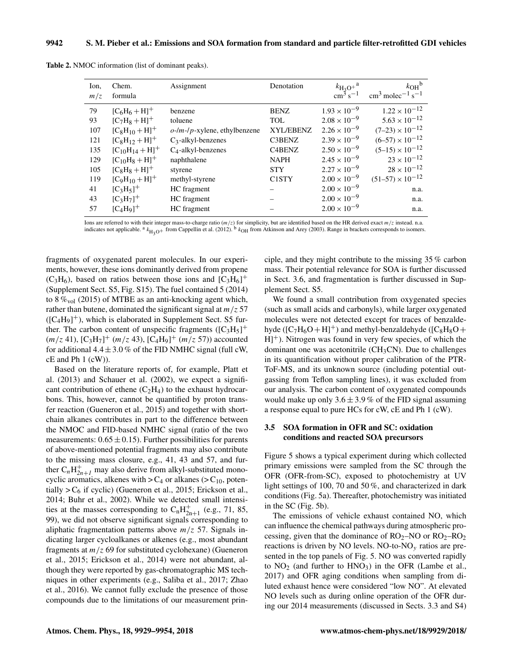| Ion,<br>m/z | Chem.<br>formula       | Assignment                      | Denotation         | $\frac{k_{\text{H}_3\text{O}^+}^{\text{a}}}{\text{cm}^3 \text{ s}^{-1}}$ | $k_{OH}$ <sup>b</sup><br>$\text{cm}^3 \text{ molecule}^{-1} \text{ s}^{-1}$ |
|-------------|------------------------|---------------------------------|--------------------|--------------------------------------------------------------------------|-----------------------------------------------------------------------------|
| 79          | $[C_6H_6+H]^{+}$       | benzene                         | <b>BENZ</b>        | $1.93 \times 10^{-9}$                                                    | $1.22 \times 10^{-12}$                                                      |
| 93          | $[C_7H_8 + H]^{+}$     | toluene                         | TOL                | $2.08 \times 10^{-9}$                                                    | $5.63 \times 10^{-12}$                                                      |
| 107         | $[C_8H_{10}+H]^{+}$    | $o$ -/m-/p-xylene, ethylbenzene | <b>XYL/EBENZ</b>   | $2.26 \times 10^{-9}$                                                    | $(7-23) \times 10^{-12}$                                                    |
| 121         | $[C_8H_{12}+H]^{+}$    | $C_3$ -alkyl-benzenes           | C3BENZ             | $2.39 \times 10^{-9}$                                                    | $(6-57) \times 10^{-12}$                                                    |
| 135         | $[C_{10}H_{14}+H]^{+}$ | $C_4$ -alkyl-benzenes           | C4BENZ             | $2.50 \times 10^{-9}$                                                    | $(5-15) \times 10^{-12}$                                                    |
| 129         | $[C_{10}H_8 + H]^{+}$  | naphthalene                     | <b>NAPH</b>        | $2.45 \times 10^{-9}$                                                    | $23 \times 10^{-12}$                                                        |
| 105         | $[C_8H_8+H]^{+}$       | styrene                         | <b>STY</b>         | $2.27 \times 10^{-9}$                                                    | $28 \times 10^{-12}$                                                        |
| 119         | $[C_9H_{10}+H]^{+}$    | methyl-styrene                  | C <sub>1</sub> STY | $2.00 \times 10^{-9}$                                                    | $(51-57) \times 10^{-12}$                                                   |
| 41          | $[C_3H_5]^{+}$         | HC fragment                     |                    | $2.00 \times 10^{-9}$                                                    | n.a.                                                                        |
| 43          | $[C_3H_7]^+$           | HC fragment                     |                    | $2.00 \times 10^{-9}$                                                    | n.a.                                                                        |
| 57          | $[C_4H_9]^+$           | HC fragment                     |                    | $2.00 \times 10^{-9}$                                                    | n.a.                                                                        |

Table 2. NMOC information (list of dominant peaks).

Ions are referred to with their integer mass-to-charge ratio (*m*/z) for simplicity, but are identified based on the HR derived exact *m*/z instead. n.a.<br>indicates not applicable. <sup>a</sup>  $k_{\text{H}_3\text{O}}$ + from Cappellin et al

fragments of oxygenated parent molecules. In our experiments, however, these ions dominantly derived from propene  $(C_3H_6)$ , based on ratios between those ions and  $[C_3H_6]^+$ (Supplement Sect. S5, Fig. S15). The fuel contained 5 (2014) to 8  $\%_{\text{vol}}$  (2015) of MTBE as an anti-knocking agent which, rather than butene, dominated the significant signal at  $m/z$  57  $([C_4H_9]^+)$ , which is elaborated in Supplement Sect. S5 further. The carbon content of unspecific fragments  $([C_3H_5]^+$  $(m/z 41)$ ,  $[C_3H_7]^+$   $(m/z 43)$ ,  $[C_4H_9]^+$   $(m/z 57)$ ) accounted for additional  $4.4 \pm 3.0\%$  of the FID NMHC signal (full cW, cE and Ph 1 (cW)).

Based on the literature reports of, for example, Platt et al. (2013) and Schauer et al. (2002), we expect a significant contribution of ethene  $(C_2H_4)$  to the exhaust hydrocarbons. This, however, cannot be quantified by proton transfer reaction (Gueneron et al., 2015) and together with shortchain alkanes contributes in part to the difference between the NMOC and FID-based NMHC signal (ratio of the two measurements:  $0.65 \pm 0.15$ ). Further possibilities for parents of above-mentioned potential fragments may also contribute to the missing mass closure, e.g., 41, 43 and 57, and further  $C_nH_{2n+1}^+$  may also derive from alkyl-substituted monocyclic aromatics, alkenes with  $>C_4$  or alkanes ( $>C_{10}$ , potentially  $>C_6$  if cyclic) (Gueneron et al., 2015; Erickson et al., 2014; Buhr et al., 2002). While we detected small intensities at the masses corresponding to  $C_nH_{2n+1}^+$  (e.g., 71, 85, 99), we did not observe significant signals corresponding to aliphatic fragmentation patterns above  $m/z$  57. Signals indicating larger cycloalkanes or alkenes (e.g., most abundant fragments at  $m/z$  69 for substituted cyclohexane) (Gueneron et al., 2015; Erickson et al., 2014) were not abundant, although they were reported by gas-chromatographic MS techniques in other experiments (e.g., Saliba et al., 2017; Zhao et al., 2016). We cannot fully exclude the presence of those compounds due to the limitations of our measurement principle, and they might contribute to the missing 35 % carbon mass. Their potential relevance for SOA is further discussed in Sect. 3.6, and fragmentation is further discussed in Supplement Sect. S5.

We found a small contribution from oxygenated species (such as small acids and carbonyls), while larger oxygenated molecules were not detected except for traces of benzaldehyde ( $[C_7H_6O + H]^+$ ) and methyl-benzaldehyde ( $[C_8H_8O +$ H] <sup>+</sup>). Nitrogen was found in very few species, of which the dominant one was acetonitrile  $(CH<sub>3</sub>CN)$ . Due to challenges in its quantification without proper calibration of the PTR-ToF-MS, and its unknown source (including potential outgassing from Teflon sampling lines), it was excluded from our analysis. The carbon content of oxygenated compounds would make up only  $3.6 \pm 3.9\%$  of the FID signal assuming a response equal to pure HCs for cW, cE and Ph 1 (cW).

## 3.5 SOA formation in OFR and SC: oxidation conditions and reacted SOA precursors

Figure 5 shows a typical experiment during which collected primary emissions were sampled from the SC through the OFR (OFR-from-SC), exposed to photochemistry at UV light settings of 100, 70 and 50 %, and characterized in dark conditions (Fig. 5a). Thereafter, photochemistry was initiated in the SC (Fig. 5b).

The emissions of vehicle exhaust contained NO, which can influence the chemical pathways during atmospheric processing, given that the dominance of  $RO<sub>2</sub>–NO$  or  $RO<sub>2</sub>–RO<sub>2</sub>$ reactions is driven by NO levels. NO-to-NO<sub> $v$ </sub> ratios are presented in the top panels of Fig. 5. NO was converted rapidly to  $NO<sub>2</sub>$  (and further to  $HNO<sub>3</sub>$ ) in the OFR (Lambe et al., 2017) and OFR aging conditions when sampling from diluted exhaust hence were considered "low NO". At elevated NO levels such as during online operation of the OFR during our 2014 measurements (discussed in Sects. 3.3 and S4)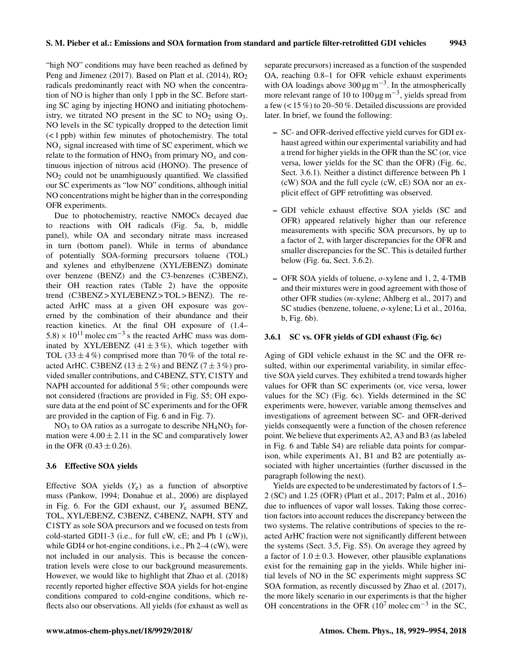"high NO" conditions may have been reached as defined by Peng and Jimenez (2017). Based on Platt et al. (2014), RO<sub>2</sub> radicals predominantly react with NO when the concentration of NO is higher than only 1 ppb in the SC. Before starting SC aging by injecting HONO and initiating photochemistry, we titrated NO present in the SC to  $NO<sub>2</sub>$  using  $O<sub>3</sub>$ . NO levels in the SC typically dropped to the detection limit (< 1 ppb) within few minutes of photochemistry. The total  $NO<sub>v</sub>$  signal increased with time of SC experiment, which we relate to the formation of  $HNO<sub>3</sub>$  from primary  $NO<sub>x</sub>$  and continuous injection of nitrous acid (HONO). The presence of  $NO<sub>2</sub>$  could not be unambiguously quantified. We classified our SC experiments as "low NO" conditions, although initial NO concentrations might be higher than in the corresponding OFR experiments.

Due to photochemistry, reactive NMOCs decayed due to reactions with OH radicals (Fig. 5a, b, middle panel), while OA and secondary nitrate mass increased in turn (bottom panel). While in terms of abundance of potentially SOA-forming precursors toluene (TOL) and xylenes and ethylbenzene (XYL/EBENZ) dominate over benzene (BENZ) and the C3-benzenes (C3BENZ), their OH reaction rates (Table 2) have the opposite trend (C3BENZ > XYL/EBENZ > TOL > BENZ). The reacted ArHC mass at a given OH exposure was governed by the combination of their abundance and their reaction kinetics. At the final OH exposure of (1.4–  $5.8 \times 10^{11}$  molec cm<sup>-3</sup> s the reacted ArHC mass was dominated by XYL/EBENZ  $(41 \pm 3\%)$ , which together with TOL (33  $\pm$  4%) comprised more than 70% of the total reacted ArHC. C3BENZ (13  $\pm$  2%) and BENZ (7  $\pm$  3%) provided smaller contributions, and C4BENZ, STY, C1STY and NAPH accounted for additional 5 %; other compounds were not considered (fractions are provided in Fig. S5; OH exposure data at the end point of SC experiments and for the OFR are provided in the caption of Fig. 6 and in Fig. 7).

 $NO<sub>3</sub>$  to OA ratios as a surrogate to describe  $NH<sub>4</sub>NO<sub>3</sub>$  formation were  $4.00 \pm 2.11$  in the SC and comparatively lower in the OFR  $(0.43 \pm 0.26)$ .

#### 3.6 Effective SOA yields

Effective SOA yields  $(Y_e)$  as a function of absorptive mass (Pankow, 1994; Donahue et al., 2006) are displayed in Fig. 6. For the GDI exhaust, our  $Y_e$  assumed BENZ, TOL, XYL/EBENZ, C3BENZ, C4BENZ, NAPH, STY and C1STY as sole SOA precursors and we focused on tests from cold-started GDI1-3 (i.e., for full cW, cE; and Ph 1 (cW)), while GDI4 or hot-engine conditions, i.e., Ph 2–4 (cW), were not included in our analysis. This is because the concentration levels were close to our background measurements. However, we would like to highlight that Zhao et al. (2018) recently reported higher effective SOA yields for hot-engine conditions compared to cold-engine conditions, which reflects also our observations. All yields (for exhaust as well as separate precursors) increased as a function of the suspended OA, reaching 0.8–1 for OFR vehicle exhaust experiments with OA loadings above  $300 \,\text{µg m}^{-3}$ . In the atmospherically more relevant range of 10 to  $100 \,\text{\mu g m}^{-3}$ , yields spread from a few (< 15 %) to 20–50 %. Detailed discussions are provided later. In brief, we found the following:

- SC- and OFR-derived effective yield curves for GDI exhaust agreed within our experimental variability and had a trend for higher yields in the OFR than the SC (or, vice versa, lower yields for the SC than the OFR) (Fig. 6c, Sect. 3.6.1). Neither a distinct difference between Ph 1 (cW) SOA and the full cycle (cW, cE) SOA nor an explicit effect of GPF retrofitting was observed.
- GDI vehicle exhaust effective SOA yields (SC and OFR) appeared relatively higher than our reference measurements with specific SOA precursors, by up to a factor of 2, with larger discrepancies for the OFR and smaller discrepancies for the SC. This is detailed further below (Fig. 6a, Sect. 3.6.2).
- OFR SOA yields of toluene, o-xylene and 1, 2, 4-TMB and their mixtures were in good agreement with those of other OFR studies (m-xylene; Ahlberg et al., 2017) and SC studies (benzene, toluene, o-xylene; Li et al., 2016a, b, Fig. 6b).

#### 3.6.1 SC vs. OFR yields of GDI exhaust (Fig. 6c)

Aging of GDI vehicle exhaust in the SC and the OFR resulted, within our experimental variability, in similar effective SOA yield curves. They exhibited a trend towards higher values for OFR than SC experiments (or, vice versa, lower values for the SC) (Fig. 6c). Yields determined in the SC experiments were, however, variable among themselves and investigations of agreement between SC- and OFR-derived yields consequently were a function of the chosen reference point. We believe that experiments A2, A3 and B3 (as labeled in Fig. 6 and Table S4) are reliable data points for comparison, while experiments A1, B1 and B2 are potentially associated with higher uncertainties (further discussed in the paragraph following the next).

Yields are expected to be underestimated by factors of 1.5– 2 (SC) and 1.25 (OFR) (Platt et al., 2017; Palm et al., 2016) due to influences of vapor wall losses. Taking those correction factors into account reduces the discrepancy between the two systems. The relative contributions of species to the reacted ArHC fraction were not significantly different between the systems (Sect. 3.5, Fig. S5). On average they agreed by a factor of  $1.0 \pm 0.3$ . However, other plausible explanations exist for the remaining gap in the yields. While higher initial levels of NO in the SC experiments might suppress SC SOA formation, as recently discussed by Zhao et al. (2017), the more likely scenario in our experiments is that the higher OH concentrations in the OFR  $(10^7 \text{ molec cm}^{-3})$  in the SC,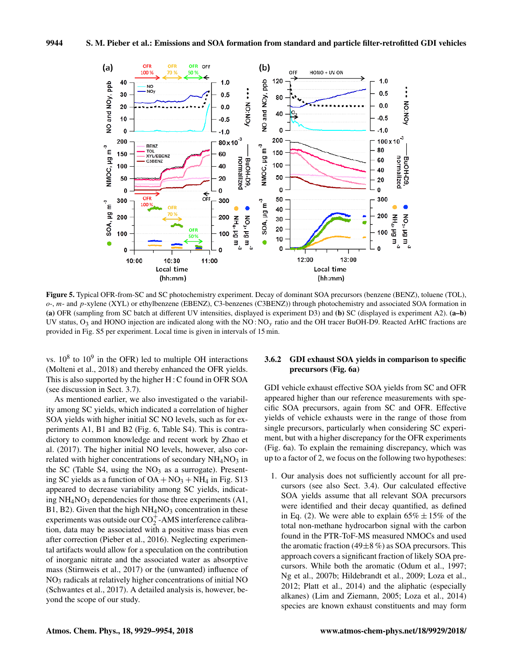

Figure 5. Typical OFR-from-SC and SC photochemistry experiment. Decay of dominant SOA precursors (benzene (BENZ), toluene (TOL), o-, m- and p-xylene (XYL) or ethylbenzene (EBENZ), C3-benzenes (C3BENZ)) through photochemistry and associated SOA formation in (a) OFR (sampling from SC batch at different UV intensities, displayed is experiment D3) and (b) SC (displayed is experiment A2). (a–b) UV status,  $O_3$  and HONO injection are indicated along with the NO: NO<sub>y</sub> ratio and the OH tracer BuOH-D9. Reacted ArHC fractions are provided in Fig. S5 per experiment. Local time is given in intervals of 15 min.

vs.  $10^8$  to  $10^9$  in the OFR) led to multiple OH interactions (Molteni et al., 2018) and thereby enhanced the OFR yields. This is also supported by the higher H : C found in OFR SOA (see discussion in Sect. 3.7).

As mentioned earlier, we also investigated o the variability among SC yields, which indicated a correlation of higher SOA yields with higher initial SC NO levels, such as for experiments A1, B1 and B2 (Fig. 6, Table S4). This is contradictory to common knowledge and recent work by Zhao et al. (2017). The higher initial NO levels, however, also correlated with higher concentrations of secondary  $NH<sub>4</sub>NO<sub>3</sub>$  in the SC (Table S4, using the  $NO<sub>3</sub>$  as a surrogate). Presenting SC yields as a function of  $OA + NO<sub>3</sub> + NH<sub>4</sub>$  in Fig. S13 appeared to decrease variability among SC yields, indicating  $NH<sub>4</sub>NO<sub>3</sub>$  dependencies for those three experiments (A1, B1, B2). Given that the high  $NH<sub>4</sub>NO<sub>3</sub>$  concentration in these experiments was outside our  $CO_2^+$ -AMS interference calibration, data may be associated with a positive mass bias even after correction (Pieber et al., 2016). Neglecting experimental artifacts would allow for a speculation on the contribution of inorganic nitrate and the associated water as absorptive mass (Stirnweis et al., 2017) or the (unwanted) influence of NO<sup>3</sup> radicals at relatively higher concentrations of initial NO (Schwantes et al., 2017). A detailed analysis is, however, beyond the scope of our study.

## 3.6.2 GDI exhaust SOA yields in comparison to specific precursors (Fig. 6a)

GDI vehicle exhaust effective SOA yields from SC and OFR appeared higher than our reference measurements with specific SOA precursors, again from SC and OFR. Effective yields of vehicle exhausts were in the range of those from single precursors, particularly when considering SC experiment, but with a higher discrepancy for the OFR experiments (Fig. 6a). To explain the remaining discrepancy, which was up to a factor of 2, we focus on the following two hypotheses:

1. Our analysis does not sufficiently account for all precursors (see also Sect. 3.4). Our calculated effective SOA yields assume that all relevant SOA precursors were identified and their decay quantified, as defined in Eq. (2). We were able to explain  $65\% \pm 15\%$  of the total non-methane hydrocarbon signal with the carbon found in the PTR-ToF-MS measured NMOCs and used the aromatic fraction (49 $\pm$ 8 %) as SOA precursors. This approach covers a significant fraction of likely SOA precursors. While both the aromatic (Odum et al., 1997; Ng et al., 2007b; Hildebrandt et al., 2009; Loza et al., 2012; Platt et al., 2014) and the aliphatic (especially alkanes) (Lim and Ziemann, 2005; Loza et al., 2014) species are known exhaust constituents and may form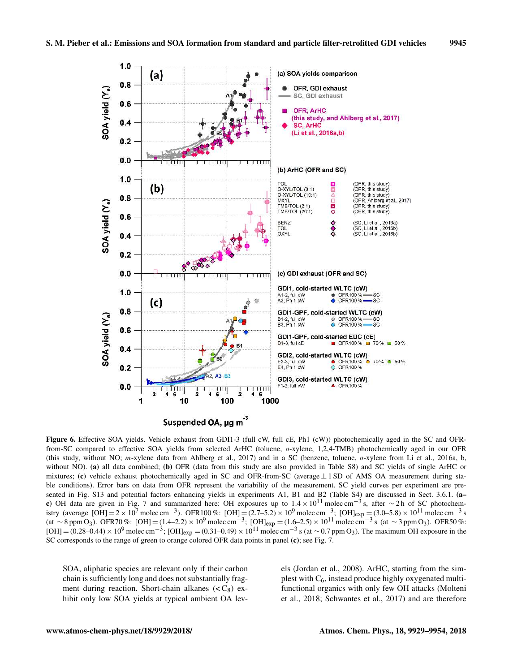

Figure 6. Effective SOA yields. Vehicle exhaust from GDI1-3 (full cW, full cE, Ph1 (cW)) photochemically aged in the SC and OFRfrom-SC compared to effective SOA yields from selected ArHC (toluene, o-xylene, 1,2,4-TMB) photochemically aged in our OFR (this study, without NO; m-xylene data from Ahlberg et al., 2017) and in a SC (benzene, toluene,  $o$ -xylene from Li et al., 2016a, b, without NO). (a) all data combined; (b) OFR (data from this study are also provided in Table S8) and SC yields of single ArHC or mixtures; (c) vehicle exhaust photochemically aged in SC and OFR-from-SC (average  $\pm$  1 SD of AMS OA measurement during stable conditions). Error bars on data from OFR represent the variability of the measurement. SC yield curves per experiment are presented in Fig. S13 and potential factors enhancing yields in experiments A1, B1 and B2 (Table S4) are discussed in Sect. 3.6.1. (ac) OH data are given in Fig. 7 and summarized here: OH exposures up to  $1.4 \times 10^{11}$  molec cm<sup>-3</sup>s, after ∼2h of SC photochemistry (average [OH] = 2 × 10<sup>7</sup> molec cm<sup>−3</sup>). OFR100 %: [OH] = (2.7–5.2) × 10<sup>9</sup> molec cm<sup>−3</sup>; [OH]<sub>exp</sub> = (3.0–5.8) × 10<sup>11</sup> molec cm<sup>−3</sup> s (at ∼8 ppm O<sub>3</sub>). OFR70%: [OH] = (1.4–2.2) × 10<sup>9</sup> molec cm<sup>-3</sup>; [OH]<sub>exp</sub> = (1.6–2.5) × 10<sup>11</sup> molec cm<sup>-3</sup> s (at ∼3 ppm O<sub>3</sub>). OFR50%: [OH] = (0.28–0.44) × 10<sup>9</sup> molec cm<sup>-3</sup>; [OH]<sub>exp</sub> = (0.31–0.49) × 10<sup>11</sup> molec cm<sup>-3</sup> s (at ~0.7 ppm O<sub>3</sub>). The maximum OH exposure in the SC corresponds to the range of green to orange colored OFR data points in panel (c); see Fig. 7.

SOA, aliphatic species are relevant only if their carbon chain is sufficiently long and does not substantially fragment during reaction. Short-chain alkanes  $( $C_8$ ) ex$ hibit only low SOA yields at typical ambient OA levels (Jordan et al., 2008). ArHC, starting from the simplest with  $C_6$ , instead produce highly oxygenated multifunctional organics with only few OH attacks (Molteni et al., 2018; Schwantes et al., 2017) and are therefore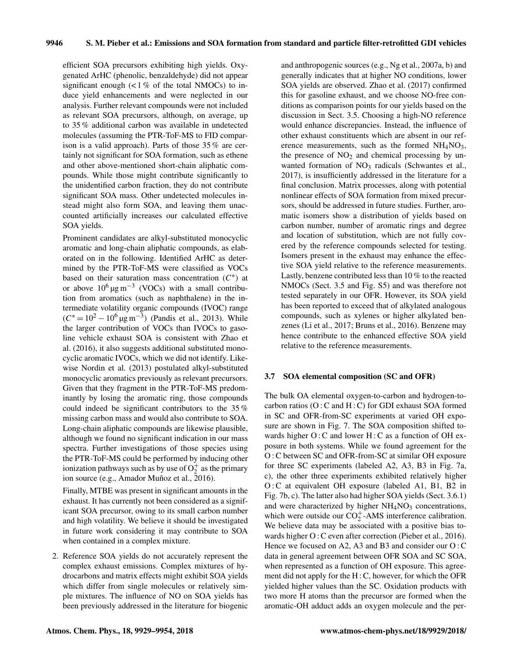efficient SOA precursors exhibiting high yields. Oxygenated ArHC (phenolic, benzaldehyde) did not appear significant enough  $\langle$  < 1% of the total NMOCs) to induce yield enhancements and were neglected in our analysis. Further relevant compounds were not included as relevant SOA precursors, although, on average, up to 35 % additional carbon was available in undetected molecules (assuming the PTR-ToF-MS to FID comparison is a valid approach). Parts of those 35 % are certainly not significant for SOA formation, such as ethene and other above-mentioned short-chain aliphatic compounds. While those might contribute significantly to the unidentified carbon fraction, they do not contribute significant SOA mass. Other undetected molecules instead might also form SOA, and leaving them unaccounted artificially increases our calculated effective SOA yields.

Prominent candidates are alkyl-substituted monocyclic aromatic and long-chain aliphatic compounds, as elaborated on in the following. Identified ArHC as determined by the PTR-ToF-MS were classified as VOCs based on their saturation mass concentration  $(C^*)$  at or above  $10^6 \,\mathrm{\upmu g\,m}^{-3}$  (VOCs) with a small contribution from aromatics (such as naphthalene) in the intermediate volatility organic compounds (IVOC) range  $(C^* = 10^2 - 10^6 \,\text{µg m}^{-3})$  (Pandis et al., 2013). While the larger contribution of VOCs than IVOCs to gasoline vehicle exhaust SOA is consistent with Zhao et al. (2016), it also suggests additional substituted monocyclic aromatic IVOCs, which we did not identify. Likewise Nordin et al. (2013) postulated alkyl-substituted monocyclic aromatics previously as relevant precursors. Given that they fragment in the PTR-ToF-MS predominantly by losing the aromatic ring, those compounds could indeed be significant contributors to the 35 % missing carbon mass and would also contribute to SOA. Long-chain aliphatic compounds are likewise plausible, although we found no significant indication in our mass spectra. Further investigations of those species using the PTR-ToF-MS could be performed by inducing other ionization pathways such as by use of  $O_2^+$  as the primary ion source (e.g., Amador Muñoz et al., 2016).

Finally, MTBE was present in significant amounts in the exhaust. It has currently not been considered as a significant SOA precursor, owing to its small carbon number and high volatility. We believe it should be investigated in future work considering it may contribute to SOA when contained in a complex mixture.

2. Reference SOA yields do not accurately represent the complex exhaust emissions. Complex mixtures of hydrocarbons and matrix effects might exhibit SOA yields which differ from single molecules or relatively simple mixtures. The influence of NO on SOA yields has been previously addressed in the literature for biogenic

and anthropogenic sources (e.g., Ng et al., 2007a, b) and generally indicates that at higher NO conditions, lower SOA yields are observed. Zhao et al. (2017) confirmed this for gasoline exhaust, and we choose NO-free conditions as comparison points for our yields based on the discussion in Sect. 3.5. Choosing a high-NO reference would enhance discrepancies. Instead, the influence of other exhaust constituents which are absent in our reference measurements, such as the formed  $NH<sub>4</sub>NO<sub>3</sub>$ , the presence of  $NO<sub>2</sub>$  and chemical processing by unwanted formation of  $NO<sub>3</sub>$  radicals (Schwantes et al., 2017), is insufficiently addressed in the literature for a final conclusion. Matrix processes, along with potential nonlinear effects of SOA formation from mixed precursors, should be addressed in future studies. Further, aromatic isomers show a distribution of yields based on carbon number, number of aromatic rings and degree and location of substitution, which are not fully covered by the reference compounds selected for testing. Isomers present in the exhaust may enhance the effective SOA yield relative to the reference measurements. Lastly, benzene contributed less than 10 % to the reacted NMOCs (Sect. 3.5 and Fig. S5) and was therefore not tested separately in our OFR. However, its SOA yield has been reported to exceed that of alkylated analogous compounds, such as xylenes or higher alkylated benzenes (Li et al., 2017; Bruns et al., 2016). Benzene may hence contribute to the enhanced effective SOA yield relative to the reference measurements.

## 3.7 SOA elemental composition (SC and OFR)

The bulk OA elemental oxygen-to-carbon and hydrogen-tocarbon ratios (O : C and H : C) for GDI exhaust SOA formed in SC and OFR-from-SC experiments at varied OH exposure are shown in Fig. 7. The SOA composition shifted towards higher O: C and lower H: C as a function of OH exposure in both systems. While we found agreement for the O : C between SC and OFR-from-SC at similar OH exposure for three SC experiments (labeled A2, A3, B3 in Fig. 7a, c), the other three experiments exhibited relatively higher O: C at equivalent OH exposure (labeled A1, B1, B2 in Fig. 7b, c). The latter also had higher SOA yields (Sect. 3.6.1) and were characterized by higher  $NH<sub>4</sub>NO<sub>3</sub>$  concentrations, which were outside our  $CO_2^+$ -AMS interference calibration. We believe data may be associated with a positive bias towards higher O : C even after correction (Pieber et al., 2016). Hence we focused on A2, A3 and B3 and consider our  $O: C$ data in general agreement between OFR SOA and SC SOA, when represented as a function of OH exposure. This agreement did not apply for the H : C, however, for which the OFR yielded higher values than the SC. Oxidation products with two more H atoms than the precursor are formed when the aromatic-OH adduct adds an oxygen molecule and the per-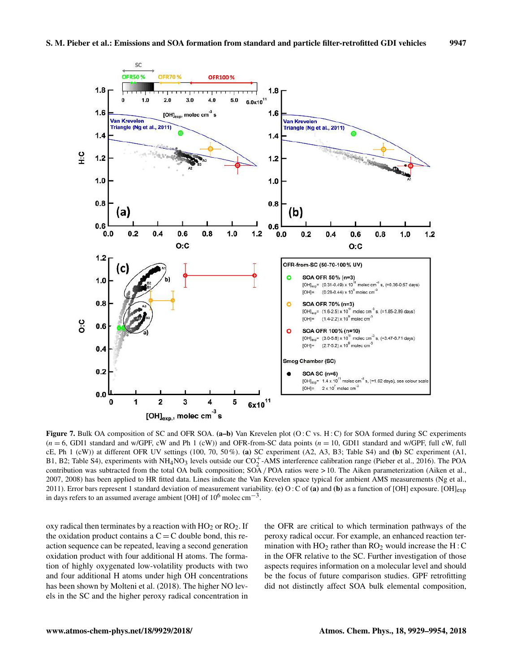

Figure 7. Bulk OA composition of SC and OFR SOA.  $(a-b)$  Van Krevelen plot  $(O:C$  vs. H: C) for SOA formed during SC experiments  $(n = 6, GDI1$  standard and w/GPF, cW and Ph 1 (cW)) and OFR-from-SC data points  $(n = 10, GDI1)$  standard and w/GPF, full cW, full cE, Ph  $1$  (cW)) at different OFR UV settings (100, 70, 50%). (a) SC experiment (A2, A3, B3; Table S4) and (b) SC experiment (A1, B1, B2; Table S4), experiments with  $NH<sub>4</sub>NO<sub>3</sub>$  levels outside our  $CO<sub>2</sub><sup>+</sup>$ -AMS interference calibration range (Pieber et al., 2016). The POA contribution was subtracted from the total OA bulk composition; SOA / POA ratios were > 10. The Aiken parameterization (Aiken et al., 2007, 2008) has been applied to HR fitted data. Lines indicate the Van Krevelen space typical for ambient AMS measurements (Ng et al., 2011). Error bars represent 1 standard deviation of measurement variability. (c) O : C of (a) and (b) as a function of [OH] exposure. [OH]<sub>exp</sub> in days refers to an assumed average ambient [OH] of  $10^6$  molec cm<sup>-3</sup>.

oxy radical then terminates by a reaction with  $HO_2$  or  $RO_2$ . If the oxidation product contains a  $C = C$  double bond, this reaction sequence can be repeated, leaving a second generation oxidation product with four additional H atoms. The formation of highly oxygenated low-volatility products with two and four additional H atoms under high OH concentrations has been shown by Molteni et al. (2018). The higher NO levels in the SC and the higher peroxy radical concentration in the OFR are critical to which termination pathways of the peroxy radical occur. For example, an enhanced reaction termination with  $HO_2$  rather than  $RO_2$  would increase the H : C in the OFR relative to the SC. Further investigation of those aspects requires information on a molecular level and should be the focus of future comparison studies. GPF retrofitting did not distinctly affect SOA bulk elemental composition,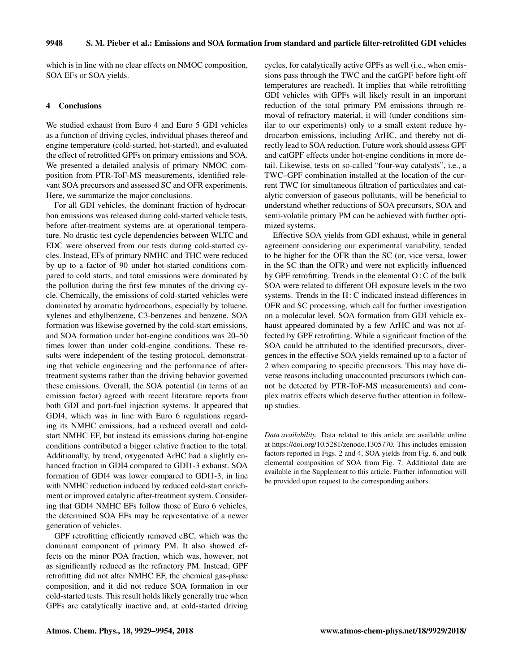which is in line with no clear effects on NMOC composition, SOA EFs or SOA yields.

#### 4 Conclusions

We studied exhaust from Euro 4 and Euro 5 GDI vehicles as a function of driving cycles, individual phases thereof and engine temperature (cold-started, hot-started), and evaluated the effect of retrofitted GPFs on primary emissions and SOA. We presented a detailed analysis of primary NMOC composition from PTR-ToF-MS measurements, identified relevant SOA precursors and assessed SC and OFR experiments. Here, we summarize the major conclusions.

For all GDI vehicles, the dominant fraction of hydrocarbon emissions was released during cold-started vehicle tests, before after-treatment systems are at operational temperature. No drastic test cycle dependencies between WLTC and EDC were observed from our tests during cold-started cycles. Instead, EFs of primary NMHC and THC were reduced by up to a factor of 90 under hot-started conditions compared to cold starts, and total emissions were dominated by the pollution during the first few minutes of the driving cycle. Chemically, the emissions of cold-started vehicles were dominated by aromatic hydrocarbons, especially by toluene, xylenes and ethylbenzene, C3-benzenes and benzene. SOA formation was likewise governed by the cold-start emissions, and SOA formation under hot-engine conditions was 20–50 times lower than under cold-engine conditions. These results were independent of the testing protocol, demonstrating that vehicle engineering and the performance of aftertreatment systems rather than the driving behavior governed these emissions. Overall, the SOA potential (in terms of an emission factor) agreed with recent literature reports from both GDI and port-fuel injection systems. It appeared that GDI4, which was in line with Euro 6 regulations regarding its NMHC emissions, had a reduced overall and coldstart NMHC EF, but instead its emissions during hot-engine conditions contributed a bigger relative fraction to the total. Additionally, by trend, oxygenated ArHC had a slightly enhanced fraction in GDI4 compared to GDI1-3 exhaust. SOA formation of GDI4 was lower compared to GDI1-3, in line with NMHC reduction induced by reduced cold-start enrichment or improved catalytic after-treatment system. Considering that GDI4 NMHC EFs follow those of Euro 6 vehicles, the determined SOA EFs may be representative of a newer generation of vehicles.

GPF retrofitting efficiently removed eBC, which was the dominant component of primary PM. It also showed effects on the minor POA fraction, which was, however, not as significantly reduced as the refractory PM. Instead, GPF retrofitting did not alter NMHC EF, the chemical gas-phase composition, and it did not reduce SOA formation in our cold-started tests. This result holds likely generally true when GPFs are catalytically inactive and, at cold-started driving cycles, for catalytically active GPFs as well (i.e., when emissions pass through the TWC and the catGPF before light-off temperatures are reached). It implies that while retrofitting GDI vehicles with GPFs will likely result in an important reduction of the total primary PM emissions through removal of refractory material, it will (under conditions similar to our experiments) only to a small extent reduce hydrocarbon emissions, including ArHC, and thereby not directly lead to SOA reduction. Future work should assess GPF and catGPF effects under hot-engine conditions in more detail. Likewise, tests on so-called "four-way catalysts", i.e., a TWC–GPF combination installed at the location of the current TWC for simultaneous filtration of particulates and catalytic conversion of gaseous pollutants, will be beneficial to understand whether reductions of SOA precursors, SOA and semi-volatile primary PM can be achieved with further optimized systems.

Effective SOA yields from GDI exhaust, while in general agreement considering our experimental variability, tended to be higher for the OFR than the SC (or, vice versa, lower in the SC than the OFR) and were not explicitly influenced by GPF retrofitting. Trends in the elemental O : C of the bulk SOA were related to different OH exposure levels in the two systems. Trends in the H : C indicated instead differences in OFR and SC processing, which call for further investigation on a molecular level. SOA formation from GDI vehicle exhaust appeared dominated by a few ArHC and was not affected by GPF retrofitting. While a significant fraction of the SOA could be attributed to the identified precursors, divergences in the effective SOA yields remained up to a factor of 2 when comparing to specific precursors. This may have diverse reasons including unaccounted precursors (which cannot be detected by PTR-ToF-MS measurements) and complex matrix effects which deserve further attention in followup studies.

*Data availability.* Data related to this article are available online at https://doi.org/10.5281/zenodo.1305770. This includes emission factors reported in Figs. 2 and 4, SOA yields from Fig. 6, and bulk elemental composition of SOA from Fig. 7. Additional data are available in the Supplement to this article. Further information will be provided upon request to the corresponding authors.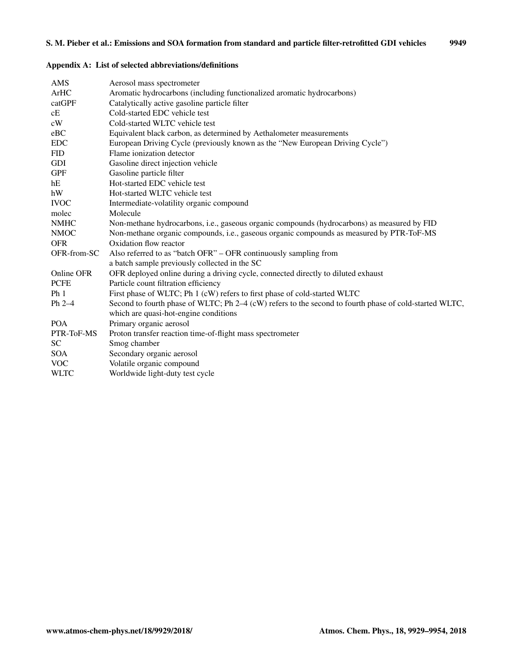# Appendix A: List of selected abbreviations/definitions

| AMS             | Aerosol mass spectrometer                                                                              |
|-----------------|--------------------------------------------------------------------------------------------------------|
| ArHC            | Aromatic hydrocarbons (including functionalized aromatic hydrocarbons)                                 |
| catGPF          | Catalytically active gasoline particle filter                                                          |
| cE              | Cold-started EDC vehicle test                                                                          |
| cW              | Cold-started WLTC vehicle test                                                                         |
| eBC             | Equivalent black carbon, as determined by Aethalometer measurements                                    |
| <b>EDC</b>      | European Driving Cycle (previously known as the "New European Driving Cycle")                          |
| <b>FID</b>      | Flame ionization detector                                                                              |
| <b>GDI</b>      | Gasoline direct injection vehicle                                                                      |
| <b>GPF</b>      | Gasoline particle filter                                                                               |
| hE              | Hot-started EDC vehicle test                                                                           |
| hW              | Hot-started WLTC vehicle test                                                                          |
| <b>IVOC</b>     | Intermediate-volatility organic compound                                                               |
| molec           | Molecule                                                                                               |
| <b>NMHC</b>     | Non-methane hydrocarbons, i.e., gaseous organic compounds (hydrocarbons) as measured by FID            |
| <b>NMOC</b>     | Non-methane organic compounds, i.e., gaseous organic compounds as measured by PTR-ToF-MS               |
| <b>OFR</b>      | Oxidation flow reactor                                                                                 |
| OFR-from-SC     | Also referred to as "batch OFR" – OFR continuously sampling from                                       |
|                 | a batch sample previously collected in the SC                                                          |
| Online OFR      | OFR deployed online during a driving cycle, connected directly to diluted exhaust                      |
| <b>PCFE</b>     | Particle count filtration efficiency                                                                   |
| Ph <sub>1</sub> | First phase of WLTC; Ph 1 (cW) refers to first phase of cold-started WLTC                              |
| $Ph 2-4$        | Second to fourth phase of WLTC; Ph 2-4 (cW) refers to the second to fourth phase of cold-started WLTC. |
|                 | which are quasi-hot-engine conditions                                                                  |
| <b>POA</b>      | Primary organic aerosol                                                                                |
| PTR-ToF-MS      | Proton transfer reaction time-of-flight mass spectrometer                                              |
| <b>SC</b>       | Smog chamber                                                                                           |
| <b>SOA</b>      | Secondary organic aerosol                                                                              |
| <b>VOC</b>      | Volatile organic compound                                                                              |
| <b>WLTC</b>     | Worldwide light-duty test cycle                                                                        |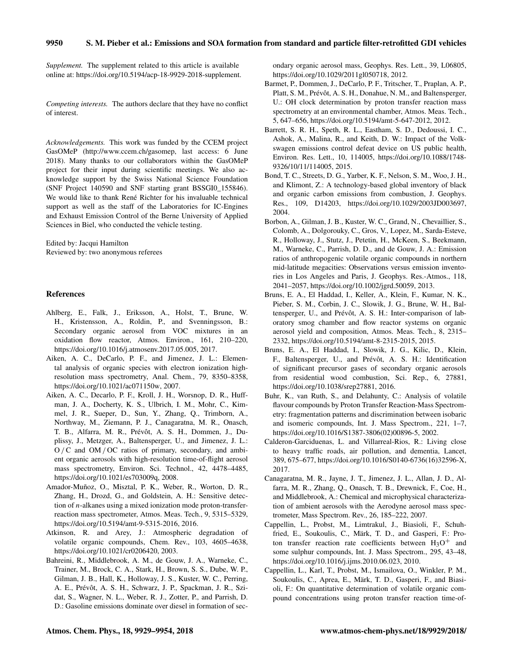#### 9950 S. M. Pieber et al.: Emissions and SOA formation from standard and particle filter-retrofitted GDI vehicles

*Supplement.* The supplement related to this article is available online at: https://doi.org/10.5194/acp-18-9929-2018-supplement.

*Competing interests.* The authors declare that they have no conflict of interest.

*Acknowledgements.* This work was funded by the CCEM project GasOMeP (http://www.ccem.ch/gasomep, last access: 6 June 2018). Many thanks to our collaborators within the GasOMeP project for their input during scientific meetings. We also acknowledge support by the Swiss National Science Foundation (SNF Project 140590 and SNF starting grant BSSGI0\_155846). We would like to thank René Richter for his invaluable technical support as well as the staff of the Laboratories for IC-Engines and Exhaust Emission Control of the Berne University of Applied Sciences in Biel, who conducted the vehicle testing.

Edited by: Jacqui Hamilton Reviewed by: two anonymous referees

#### References

- Ahlberg, E., Falk, J., Eriksson, A., Holst, T., Brune, W. H., Kristensson, A., Roldin, P., and Svenningsson, B.: Secondary organic aerosol from VOC mixtures in an oxidation flow reactor, Atmos. Environ., 161, 210–220, https://doi.org/10.1016/j.atmosenv.2017.05.005, 2017.
- Aiken, A. C., DeCarlo, P. F., and Jimenez, J. L.: Elemental analysis of organic species with electron ionization highresolution mass spectrometry, Anal. Chem., 79, 8350–8358, https://doi.org/10.1021/ac071150w, 2007.
- Aiken, A. C., Decarlo, P. F., Kroll, J. H., Worsnop, D. R., Huffman, J. A., Docherty, K. S., Ulbrich, I. M., Mohr, C., Kimmel, J. R., Sueper, D., Sun, Y., Zhang, Q., Trimborn, A., Northway, M., Ziemann, P. J., Canagaratna, M. R., Onasch, T. B., Alfarra, M. R., Prévôt, A. S. H., Dommen, J., Duplissy, J., Metzger, A., Baltensperger, U., and Jimenez, J. L.: O /C and OM / OC ratios of primary, secondary, and ambient organic aerosols with high-resolution time-of-flight aerosol mass spectrometry, Environ. Sci. Technol., 42, 4478–4485, https://doi.org/10.1021/es703009q, 2008.
- Amador-Muñoz, O., Misztal, P. K., Weber, R., Worton, D. R., Zhang, H., Drozd, G., and Goldstein, A. H.: Sensitive detection of n-alkanes using a mixed ionization mode proton-transferreaction mass spectrometer, Atmos. Meas. Tech., 9, 5315–5329, https://doi.org/10.5194/amt-9-5315-2016, 2016.
- Atkinson, R. and Arey, J.: Atmospheric degradation of volatile organic compounds, Chem. Rev., 103, 4605–4638, https://doi.org/10.1021/cr0206420, 2003.
- Bahreini, R., Middlebrook, A. M., de Gouw, J. A., Warneke, C., Trainer, M., Brock, C. A., Stark, H., Brown, S. S., Dube, W. P., Gilman, J. B., Hall, K., Holloway, J. S., Kuster, W. C., Perring, A. E., Prévôt, A. S. H., Schwarz, J. P., Spackman, J. R., Szidat, S., Wagner, N. L., Weber, R. J., Zotter, P., and Parrish, D. D.: Gasoline emissions dominate over diesel in formation of sec-

ondary organic aerosol mass, Geophys. Res. Lett., 39, L06805, https://doi.org/10.1029/2011gl050718, 2012.

- Barmet, P., Dommen, J., DeCarlo, P. F., Tritscher, T., Praplan, A. P., Platt, S. M., Prévôt, A. S. H., Donahue, N. M., and Baltensperger, U.: OH clock determination by proton transfer reaction mass spectrometry at an environmental chamber, Atmos. Meas. Tech., 5, 647–656, https://doi.org/10.5194/amt-5-647-2012, 2012.
- Barrett, S. R. H., Speth, R. L., Eastham, S. D., Dedoussi, I. C., Ashok, A., Malina, R., and Keith, D. W.: Impact of the Volkswagen emissions control defeat device on US public health, Environ. Res. Lett., 10, 114005, https://doi.org/10.1088/1748- 9326/10/11/114005, 2015.
- Bond, T. C., Streets, D. G., Yarber, K. F., Nelson, S. M., Woo, J. H., and Klimont, Z.: A technology-based global inventory of black and organic carbon emissions from combustion, J. Geophys. Res., 109, D14203, https://doi.org/10.1029/2003JD003697, 2004.
- Borbon, A., Gilman, J. B., Kuster, W. C., Grand, N., Chevaillier, S., Colomb, A., Dolgorouky, C., Gros, V., Lopez, M., Sarda-Esteve, R., Holloway, J., Stutz, J., Petetin, H., McKeen, S., Beekmann, M., Warneke, C., Parrish, D. D., and de Gouw, J. A.: Emission ratios of anthropogenic volatile organic compounds in northern mid-latitude megacities: Observations versus emission inventories in Los Angeles and Paris, J. Geophys. Res.-Atmos., 118, 2041–2057, https://doi.org/10.1002/jgrd.50059, 2013.
- Bruns, E. A., El Haddad, I., Keller, A., Klein, F., Kumar, N. K., Pieber, S. M., Corbin, J. C., Slowik, J. G., Brune, W. H., Baltensperger, U., and Prévôt, A. S. H.: Inter-comparison of laboratory smog chamber and flow reactor systems on organic aerosol yield and composition, Atmos. Meas. Tech., 8, 2315– 2332, https://doi.org/10.5194/amt-8-2315-2015, 2015.
- Bruns, E. A., El Haddad, I., Slowik, J. G., Kilic, D., Klein, F., Baltensperger, U., and Prévôt, A. S. H.: Identification of significant precursor gases of secondary organic aerosols from residential wood combustion, Sci. Rep., 6, 27881, https://doi.org/10.1038/srep27881, 2016.
- Buhr, K., van Ruth, S., and Delahunty, C.: Analysis of volatile flavour compounds by Proton Transfer Reaction-Mass Spectrometry: fragmentation patterns and discrimination between isobaric and isomeric compounds, Int. J. Mass Spectrom., 221, 1–7, https://doi.org/10.1016/S1387-3806(02)00896-5, 2002.
- Calderon-Garciduenas, L. and Villarreal-Rios, R.: Living close to heavy traffic roads, air pollution, and dementia, Lancet, 389, 675–677, https://doi.org/10.1016/S0140-6736(16)32596-X, 2017.
- Canagaratna, M. R., Jayne, J. T., Jimenez, J. L., Allan, J. D., Alfarra, M. R., Zhang, Q., Onasch, T. B., Drewnick, F., Coe, H., and Middlebrook, A.: Chemical and microphysical characterization of ambient aerosols with the Aerodyne aerosol mass spectrometer, Mass Spectrom. Rev., 26, 185–222, 2007.
- Cappellin, L., Probst, M., Limtrakul, J., Biasioli, F., Schuhfried, E., Soukoulis, C., Märk, T. D., and Gasperi, F.: Proton transfer reaction rate coefficients between  $H_3O^+$  and some sulphur compounds, Int. J. Mass Spectrom., 295, 43–48, https://doi.org/10.1016/j.ijms.2010.06.023, 2010.
- Cappellin, L., Karl, T., Probst, M., Ismailova, O., Winkler, P. M., Soukoulis, C., Aprea, E., Märk, T. D., Gasperi, F., and Biasioli, F.: On quantitative determination of volatile organic compound concentrations using proton transfer reaction time-of-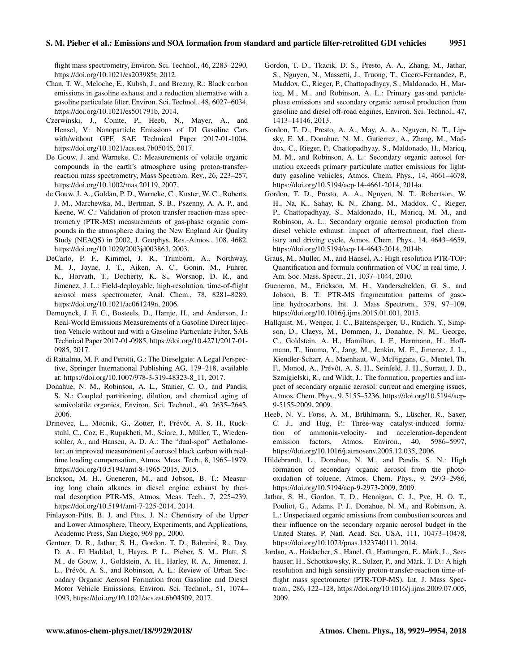flight mass spectrometry, Environ. Sci. Technol., 46, 2283–2290, https://doi.org/10.1021/es203985t, 2012.

- Chan, T. W., Meloche, E., Kubsh, J., and Brezny, R.: Black carbon emissions in gasoline exhaust and a reduction alternative with a gasoline particulate filter, Environ. Sci. Technol., 48, 6027–6034, https://doi.org/10.1021/es501791b, 2014.
- Czerwinski, J., Comte, P., Heeb, N., Mayer, A., and Hensel, V.: Nanoparticle Emissions of DI Gasoline Cars with/without GPF, SAE Technical Paper 2017-01-1004, https://doi.org/10.1021/acs.est.7b05045, 2017.
- De Gouw, J. and Warneke, C.: Measurements of volatile organic compounds in the earth's atmosphere using proton-transferreaction mass spectrometry, Mass Spectrom. Rev., 26, 223–257, https://doi.org/10.1002/mas.20119, 2007.
- de Gouw, J. A., Goldan, P. D., Warneke, C., Kuster, W. C., Roberts, J. M., Marchewka, M., Bertman, S. B., Pszenny, A. A. P., and Keene, W. C.: Validation of proton transfer reaction-mass spectrometry (PTR-MS) measurements of gas-phase organic compounds in the atmosphere during the New England Air Quality Study (NEAQS) in 2002, J. Geophys. Res.-Atmos., 108, 4682, https://doi.org/10.1029/2003jd003863, 2003.
- DeCarlo, P. F., Kimmel, J. R., Trimborn, A., Northway, M. J., Jayne, J. T., Aiken, A. C., Gonin, M., Fuhrer, K., Horvath, T., Docherty, K. S., Worsnop, D. R., and Jimenez, J. L.: Field-deployable, high-resolution, time-of-flight aerosol mass spectrometer, Anal. Chem., 78, 8281–8289, https://doi.org/10.1021/ac061249n, 2006.
- Demuynck, J. F. C., Bosteels, D., Hamje, H., and Anderson, J.: Real-World Emissions Measurements of a Gasoline Direct Injection Vehicle without and with a Gasoline Particulate Filter, SAE Technical Paper 2017-01-0985, https://doi.org/10.4271/2017-01- 0985, 2017.
- di Rattalma, M. F. and Perotti, G.: The Dieselgate: A Legal Perspective, Springer International Publishing AG, 179–218, available at: https://doi.org/10.1007/978-3-319-48323-8\_11, 2017.
- Donahue, N. M., Robinson, A. L., Stanier, C. O., and Pandis, S. N.: Coupled partitioning, dilution, and chemical aging of semivolatile organics, Environ. Sci. Technol., 40, 2635–2643, 2006.
- Drinovec, L., Mocnik, G., Zotter, P., Prévôt, A. S. H., Ruckstuhl, C., Coz, E., Rupakheti, M., Sciare, J., Müller, T., Wiedensohler, A., and Hansen, A. D. A.: The "dual-spot" Aethalometer: an improved measurement of aerosol black carbon with realtime loading compensation, Atmos. Meas. Tech., 8, 1965–1979, https://doi.org/10.5194/amt-8-1965-2015, 2015.
- Erickson, M. H., Gueneron, M., and Jobson, B. T.: Measuring long chain alkanes in diesel engine exhaust by thermal desorption PTR-MS, Atmos. Meas. Tech., 7, 225–239, https://doi.org/10.5194/amt-7-225-2014, 2014.
- Finlayson-Pitts, B. J. and Pitts, J. N.: Chemistry of the Upper and Lower Atmosphere, Theory, Experiments, and Applications, Academic Press, San Diego, 969 pp., 2000.
- Gentner, D. R., Jathar, S. H., Gordon, T. D., Bahreini, R., Day, D. A., El Haddad, I., Hayes, P. L., Pieber, S. M., Platt, S. M., de Gouw, J., Goldstein, A. H., Harley, R. A., Jimenez, J. L., Prévôt, A. S., and Robinson, A. L.: Review of Urban Secondary Organic Aerosol Formation from Gasoline and Diesel Motor Vehicle Emissions, Environ. Sci. Technol., 51, 1074– 1093, https://doi.org/10.1021/acs.est.6b04509, 2017.
- Gordon, T. D., Tkacik, D. S., Presto, A. A., Zhang, M., Jathar, S., Nguyen, N., Massetti, J., Truong, T., Cicero-Fernandez, P., Maddox, C., Rieger, P., Chattopadhyay, S., Maldonado, H., Maricq, M., M., and Robinson, A. L.: Primary gas-and particlephase emissions and secondary organic aerosol production from gasoline and diesel off-road engines, Environ. Sci. Technol., 47, 1413–14146, 2013.
- Gordon, T. D., Presto, A. A., May, A. A., Nguyen, N. T., Lipsky, E. M., Donahue, N. M., Gutierrez, A., Zhang, M., Maddox, C., Rieger, P., Chattopadhyay, S., Maldonado, H., Maricq, M. M., and Robinson, A. L.: Secondary organic aerosol formation exceeds primary particulate matter emissions for lightduty gasoline vehicles, Atmos. Chem. Phys., 14, 4661–4678, https://doi.org/10.5194/acp-14-4661-2014, 2014a.
- Gordon, T. D., Presto, A. A., Nguyen, N. T., Robertson, W. H., Na, K., Sahay, K. N., Zhang, M., Maddox, C., Rieger, P., Chattopadhyay, S., Maldonado, H., Maricq, M. M., and Robinson, A. L.: Secondary organic aerosol production from diesel vehicle exhaust: impact of aftertreatment, fuel chemistry and driving cycle, Atmos. Chem. Phys., 14, 4643–4659, https://doi.org/10.5194/acp-14-4643-2014, 2014b.
- Graus, M., Muller, M., and Hansel, A.: High resolution PTR-TOF: Quantification and formula confirmation of VOC in real time, J. Am. Soc. Mass. Spectr., 21, 1037–1044, 2010.
- Gueneron, M., Erickson, M. H., Vanderschelden, G. S., and Jobson, B. T.: PTR-MS fragmentation patterns of gasoline hydrocarbons, Int. J. Mass Spectrom., 379, 97–109, https://doi.org/10.1016/j.ijms.2015.01.001, 2015.
- Hallquist, M., Wenger, J. C., Baltensperger, U., Rudich, Y., Simpson, D., Claeys, M., Dommen, J., Donahue, N. M., George, C., Goldstein, A. H., Hamilton, J. F., Herrmann, H., Hoffmann, T., Iinuma, Y., Jang, M., Jenkin, M. E., Jimenez, J. L., Kiendler-Scharr, A., Maenhaut, W., McFiggans, G., Mentel, Th. F., Monod, A., Prévôt, A. S. H., Seinfeld, J. H., Surratt, J. D., Szmigielski, R., and Wildt, J.: The formation, properties and impact of secondary organic aerosol: current and emerging issues, Atmos. Chem. Phys., 9, 5155–5236, https://doi.org/10.5194/acp-9-5155-2009, 2009.
- Heeb, N. V., Forss, A. M., Brühlmann, S., Lüscher, R., Saxer, C. J., and Hug, P.: Three-way catalyst-induced formation of ammonia-velocity- and acceleration-dependent emission factors, Atmos. Environ., 40, 5986–5997, https://doi.org/10.1016/j.atmosenv.2005.12.035, 2006.
- Hildebrandt, L., Donahue, N. M., and Pandis, S. N.: High formation of secondary organic aerosol from the photooxidation of toluene, Atmos. Chem. Phys., 9, 2973–2986, https://doi.org/10.5194/acp-9-2973-2009, 2009.
- Jathar, S. H., Gordon, T. D., Hennigan, C. J., Pye, H. O. T., Pouliot, G., Adams, P. J., Donahue, N. M., and Robinson, A. L.: Unspeciated organic emissions from combustion sources and their influence on the secondary organic aerosol budget in the United States, P. Natl. Acad. Sci. USA, 111, 10473–10478, https://doi.org/10.1073/pnas.1323740111, 2014.
- Jordan, A., Haidacher, S., Hanel, G., Hartungen, E., Märk, L., Seehauser, H., Schottkowsky, R., Sulzer, P., and Märk, T. D.: A high resolution and high sensitivity proton-transfer-reaction time-offlight mass spectrometer (PTR-TOF-MS), Int. J. Mass Spectrom., 286, 122–128, https://doi.org/10.1016/j.ijms.2009.07.005, 2009.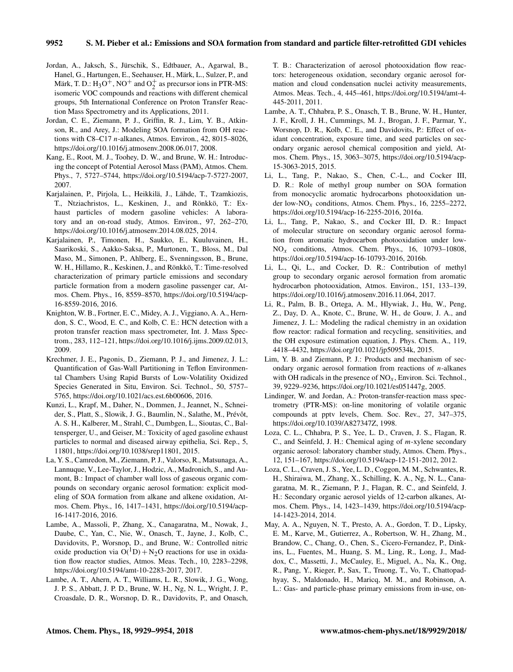- Jordan, A., Jaksch, S., Jürschik, S., Edtbauer, A., Agarwal, B., Hanel, G., Hartungen, E., Seehauser, H., Märk, L., Sulzer, P., and Märk, T. D.:  $H_3O^{\frac{1}{7}}$ , NO<sup>+</sup> and  $O_2^+$  as precursor ions in PTR-MS: isomeric VOC compounds and reactions with different chemical groups, 5th International Conference on Proton Transfer Reaction Mass Spectrometry and its Applications, 2011.
- Jordan, C. E., Ziemann, P. J., Griffin, R. J., Lim, Y. B., Atkinson, R., and Arey, J.: Modeling SOA formation from OH reactions with C8–C17 n-alkanes, Atmos. Environ., 42, 8015–8026, https://doi.org/10.1016/j.atmosenv.2008.06.017, 2008.
- Kang, E., Root, M. J., Toohey, D. W., and Brune, W. H.: Introducing the concept of Potential Aerosol Mass (PAM), Atmos. Chem. Phys., 7, 5727–5744, https://doi.org/10.5194/acp-7-5727-2007, 2007.
- Karjalainen, P., Pirjola, L., Heikkilä, J., Lähde, T., Tzamkiozis, T., Ntziachristos, L., Keskinen, J., and Rönkkö, T.: Exhaust particles of modern gasoline vehicles: A laboratory and an on-road study, Atmos. Environ., 97, 262–270, https://doi.org/10.1016/j.atmosenv.2014.08.025, 2014.
- Karjalainen, P., Timonen, H., Saukko, E., Kuuluvainen, H., Saarikoski, S., Aakko-Saksa, P., Murtonen, T., Bloss, M., Dal Maso, M., Simonen, P., Ahlberg, E., Svenningsson, B., Brune, W. H., Hillamo, R., Keskinen, J., and Rönkkö, T.: Time-resolved characterization of primary particle emissions and secondary particle formation from a modern gasoline passenger car, Atmos. Chem. Phys., 16, 8559–8570, https://doi.org/10.5194/acp-16-8559-2016, 2016.
- Knighton, W. B., Fortner, E. C., Midey, A. J., Viggiano, A. A., Herndon, S. C., Wood, E. C., and Kolb, C. E.: HCN detection with a proton transfer reaction mass spectrometer, Int. J. Mass Spectrom., 283, 112–121, https://doi.org/10.1016/j.ijms.2009.02.013, 2009.
- Krechmer, J. E., Pagonis, D., Ziemann, P. J., and Jimenez, J. L.: Quantification of Gas-Wall Partitioning in Teflon Environmental Chambers Using Rapid Bursts of Low-Volatility Oxidized Species Generated in Situ, Environ. Sci. Technol., 50, 5757– 5765, https://doi.org/10.1021/acs.est.6b00606, 2016.
- Kunzi, L., Krapf, M., Daher, N., Dommen, J., Jeannet, N., Schneider, S., Platt, S., Slowik, J. G., Baumlin, N., Salathe, M., Prévôt, A. S. H., Kalberer, M., Strahl, C., Dumbgen, L., Sioutas, C., Baltensperger, U., and Geiser, M.: Toxicity of aged gasoline exhaust particles to normal and diseased airway epithelia, Sci. Rep., 5, 11801, https://doi.org/10.1038/srep11801, 2015.
- La, Y. S., Camredon, M., Ziemann, P. J., Valorso, R., Matsunaga, A., Lannuque, V., Lee-Taylor, J., Hodzic, A., Madronich, S., and Aumont, B.: Impact of chamber wall loss of gaseous organic compounds on secondary organic aerosol formation: explicit modeling of SOA formation from alkane and alkene oxidation, Atmos. Chem. Phys., 16, 1417–1431, https://doi.org/10.5194/acp-16-1417-2016, 2016.
- Lambe, A., Massoli, P., Zhang, X., Canagaratna, M., Nowak, J., Daube, C., Yan, C., Nie, W., Onasch, T., Jayne, J., Kolb, C., Davidovits, P., Worsnop, D., and Brune, W.: Controlled nitric oxide production via  $O(^1D) + N_2O$  reactions for use in oxidation flow reactor studies, Atmos. Meas. Tech., 10, 2283–2298, https://doi.org/10.5194/amt-10-2283-2017, 2017.
- Lambe, A. T., Ahern, A. T., Williams, L. R., Slowik, J. G., Wong, J. P. S., Abbatt, J. P. D., Brune, W. H., Ng, N. L., Wright, J. P., Croasdale, D. R., Worsnop, D. R., Davidovits, P., and Onasch,

T. B.: Characterization of aerosol photooxidation flow reactors: heterogeneous oxidation, secondary organic aerosol formation and cloud condensation nuclei activity measurements, Atmos. Meas. Tech., 4, 445–461, https://doi.org/10.5194/amt-4- 445-2011, 2011.

- Lambe, A. T., Chhabra, P. S., Onasch, T. B., Brune, W. H., Hunter, J. F., Kroll, J. H., Cummings, M. J., Brogan, J. F., Parmar, Y., Worsnop, D. R., Kolb, C. E., and Davidovits, P.: Effect of oxidant concentration, exposure time, and seed particles on secondary organic aerosol chemical composition and yield, Atmos. Chem. Phys., 15, 3063–3075, https://doi.org/10.5194/acp-15-3063-2015, 2015.
- Li, L., Tang, P., Nakao, S., Chen, C.-L., and Cocker III, D. R.: Role of methyl group number on SOA formation from monocyclic aromatic hydrocarbons photooxidation under low-NO<sub>x</sub> conditions, Atmos. Chem. Phys., 16, 2255–2272, https://doi.org/10.5194/acp-16-2255-2016, 2016a.
- Li, L., Tang, P., Nakao, S., and Cocker III, D. R.: Impact of molecular structure on secondary organic aerosol formation from aromatic hydrocarbon photooxidation under low- $NO<sub>x</sub>$  conditions, Atmos. Chem. Phys., 16, 10793-10808, https://doi.org/10.5194/acp-16-10793-2016, 2016b.
- Li, L., Qi, L., and Cocker, D. R.: Contribution of methyl group to secondary organic aerosol formation from aromatic hydrocarbon photooxidation, Atmos. Environ., 151, 133–139, https://doi.org/10.1016/j.atmosenv.2016.11.064, 2017.
- Li, R., Palm, B. B., Ortega, A. M., Hlywiak, J., Hu, W., Peng, Z., Day, D. A., Knote, C., Brune, W. H., de Gouw, J. A., and Jimenez, J. L.: Modeling the radical chemistry in an oxidation flow reactor: radical formation and recycling, sensitivities, and the OH exposure estimation equation, J. Phys. Chem. A., 119, 4418–4432, https://doi.org/10.1021/jp509534k, 2015.
- Lim, Y. B. and Ziemann, P. J.: Products and mechanism of secondary organic aerosol formation from reactions of  $n$ -alkanes with OH radicals in the presence of  $NO<sub>x</sub>$ , Environ. Sci. Technol., 39, 9229–9236, https://doi.org/10.1021/es051447g, 2005.
- Lindinger, W. and Jordan, A.: Proton-transfer-reaction mass spectrometry (PTR-MS): on-line monitoring of volatile organic compounds at pptv levels, Chem. Soc. Rev., 27, 347–375, https://doi.org/10.1039/A827347Z, 1998.
- Loza, C. L., Chhabra, P. S., Yee, L. D., Craven, J. S., Flagan, R. C., and Seinfeld, J. H.: Chemical aging of m-xylene secondary organic aerosol: laboratory chamber study, Atmos. Chem. Phys., 12, 151–167, https://doi.org/10.5194/acp-12-151-2012, 2012.
- Loza, C. L., Craven, J. S., Yee, L. D., Coggon, M. M., Schwantes, R. H., Shiraiwa, M., Zhang, X., Schilling, K. A., Ng, N. L., Canagaratna, M. R., Ziemann, P. J., Flagan, R. C., and Seinfeld, J. H.: Secondary organic aerosol yields of 12-carbon alkanes, Atmos. Chem. Phys., 14, 1423–1439, https://doi.org/10.5194/acp-14-1423-2014, 2014.
- May, A. A., Nguyen, N. T., Presto, A. A., Gordon, T. D., Lipsky, E. M., Karve, M., Gutierrez, A., Robertson, W. H., Zhang, M., Brandow, C., Chang, O., Chen, S., Cicero-Fernandez, P., Dinkins, L., Fuentes, M., Huang, S. M., Ling, R., Long, J., Maddox, C., Massetti, J., McCauley, E., Miguel, A., Na, K., Ong, R., Pang, Y., Rieger, P., Sax, T., Truong, T., Vo, T., Chattopadhyay, S., Maldonado, H., Maricq, M. M., and Robinson, A. L.: Gas- and particle-phase primary emissions from in-use, on-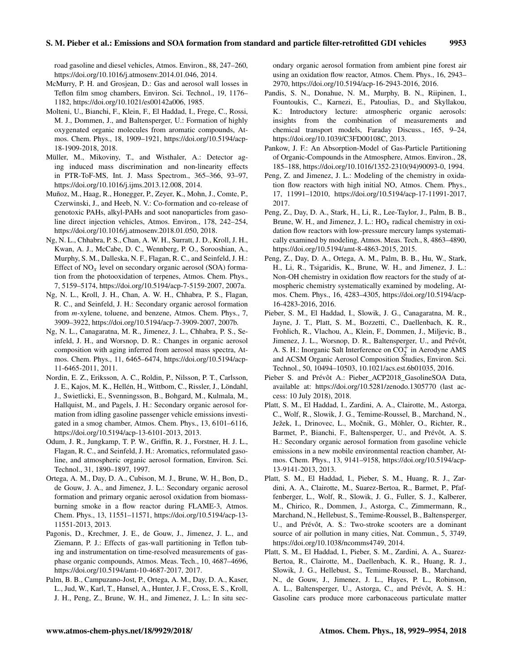road gasoline and diesel vehicles, Atmos. Environ., 88, 247–260, https://doi.org/10.1016/j.atmosenv.2014.01.046, 2014.

- McMurry, P. H. and Grosjean, D.: Gas and aerosol wall losses in Teflon film smog chambers, Environ. Sci. Technol., 19, 1176– 1182, https://doi.org/10.1021/es00142a006, 1985.
- Molteni, U., Bianchi, F., Klein, F., El Haddad, I., Frege, C., Rossi, M. J., Dommen, J., and Baltensperger, U.: Formation of highly oxygenated organic molecules from aromatic compounds, Atmos. Chem. Phys., 18, 1909–1921, https://doi.org/10.5194/acp-18-1909-2018, 2018.
- Müller, M., Mikoviny, T., and Wisthaler, A.: Detector aging induced mass discrimination and non-linearity effects in PTR-ToF-MS, Int. J. Mass Spectrom., 365–366, 93–97, https://doi.org/10.1016/j.ijms.2013.12.008, 2014.
- Muñoz, M., Haag, R., Honegger, P., Zeyer, K., Mohn, J., Comte, P., Czerwinski, J., and Heeb, N. V.: Co-formation and co-release of genotoxic PAHs, alkyl-PAHs and soot nanoparticles from gasoline direct injection vehicles, Atmos. Environ., 178, 242–254, https://doi.org/10.1016/j.atmosenv.2018.01.050, 2018.
- Ng, N. L., Chhabra, P. S., Chan, A. W. H., Surratt, J. D., Kroll, J. H., Kwan, A. J., McCabe, D. C., Wennberg, P. O., Sorooshian, A., Murphy, S. M., Dalleska, N. F., Flagan, R. C., and Seinfeld, J. H.: Effect of  $NO<sub>x</sub>$  level on secondary organic aerosol (SOA) formation from the photooxidation of terpenes, Atmos. Chem. Phys., 7, 5159–5174, https://doi.org/10.5194/acp-7-5159-2007, 2007a.
- Ng, N. L., Kroll, J. H., Chan, A. W. H., Chhabra, P. S., Flagan, R. C., and Seinfeld, J. H.: Secondary organic aerosol formation from m-xylene, toluene, and benzene, Atmos. Chem. Phys., 7, 3909–3922, https://doi.org/10.5194/acp-7-3909-2007, 2007b.
- Ng, N. L., Canagaratna, M. R., Jimenez, J. L., Chhabra, P. S., Seinfeld, J. H., and Worsnop, D. R.: Changes in organic aerosol composition with aging inferred from aerosol mass spectra, Atmos. Chem. Phys., 11, 6465–6474, https://doi.org/10.5194/acp-11-6465-2011, 2011.
- Nordin, E. Z., Eriksson, A. C., Roldin, P., Nilsson, P. T., Carlsson, J. E., Kajos, M. K., Hellén, H., Wittbom, C., Rissler, J., Löndahl, J., Swietlicki, E., Svenningsson, B., Bohgard, M., Kulmala, M., Hallquist, M., and Pagels, J. H.: Secondary organic aerosol formation from idling gasoline passenger vehicle emissions investigated in a smog chamber, Atmos. Chem. Phys., 13, 6101–6116, https://doi.org/10.5194/acp-13-6101-2013, 2013.
- Odum, J. R., Jungkamp, T. P. W., Griffin, R. J., Forstner, H. J. L., Flagan, R. C., and Seinfeld, J. H.: Aromatics, reformulated gasoline, and atmospheric organic aerosol formation, Environ. Sci. Technol., 31, 1890–1897, 1997.
- Ortega, A. M., Day, D. A., Cubison, M. J., Brune, W. H., Bon, D., de Gouw, J. A., and Jimenez, J. L.: Secondary organic aerosol formation and primary organic aerosol oxidation from biomassburning smoke in a flow reactor during FLAME-3, Atmos. Chem. Phys., 13, 11551–11571, https://doi.org/10.5194/acp-13- 11551-2013, 2013.
- Pagonis, D., Krechmer, J. E., de Gouw, J., Jimenez, J. L., and Ziemann, P. J.: Effects of gas-wall partitioning in Teflon tubing and instrumentation on time-resolved measurements of gasphase organic compounds, Atmos. Meas. Tech., 10, 4687–4696, https://doi.org/10.5194/amt-10-4687-2017, 2017.
- Palm, B. B., Campuzano-Jost, P., Ortega, A. M., Day, D. A., Kaser, L., Jud, W., Karl, T., Hansel, A., Hunter, J. F., Cross, E. S., Kroll, J. H., Peng, Z., Brune, W. H., and Jimenez, J. L.: In situ sec-

ondary organic aerosol formation from ambient pine forest air using an oxidation flow reactor, Atmos. Chem. Phys., 16, 2943– 2970, https://doi.org/10.5194/acp-16-2943-2016, 2016.

- Pandis, S. N., Donahue, N. M., Murphy, B. N., Riipinen, I., Fountoukis, C., Karnezi, E., Patoulias, D., and Skyllakou, K.: Introductory lecture: atmospheric organic aerosols: insights from the combination of measurements and chemical transport models, Faraday Discuss., 165, 9–24, https://doi.org/10.1039/C3FD00108C, 2013.
- Pankow, J. F.: An Absorption-Model of Gas-Particle Partitioning of Organic-Compounds in the Atmosphere, Atmos. Environ., 28, 185–188, https://doi.org/10.1016/1352-2310(94)90093-0, 1994.
- Peng, Z. and Jimenez, J. L.: Modeling of the chemistry in oxidation flow reactors with high initial NO, Atmos. Chem. Phys., 17, 11991–12010, https://doi.org/10.5194/acp-17-11991-2017, 2017.
- Peng, Z., Day, D. A., Stark, H., Li, R., Lee-Taylor, J., Palm, B. B., Brune, W. H., and Jimenez, J. L.:  $HO_x$  radical chemistry in oxidation flow reactors with low-pressure mercury lamps systematically examined by modeling, Atmos. Meas. Tech., 8, 4863–4890, https://doi.org/10.5194/amt-8-4863-2015, 2015.
- Peng, Z., Day, D. A., Ortega, A. M., Palm, B. B., Hu, W., Stark, H., Li, R., Tsigaridis, K., Brune, W. H., and Jimenez, J. L.: Non-OH chemistry in oxidation flow reactors for the study of atmospheric chemistry systematically examined by modeling, Atmos. Chem. Phys., 16, 4283–4305, https://doi.org/10.5194/acp-16-4283-2016, 2016.
- Pieber, S. M., El Haddad, I., Slowik, J. G., Canagaratna, M. R., Jayne, J. T., Platt, S. M., Bozzetti, C., Daellenbach, K. R., Frohlich, R., Vlachou, A., Klein, F., Dommen, J., Miljevic, B., Jimenez, J. L., Worsnop, D. R., Baltensperger, U., and Prévôt, A. S. H.: Inorganic Salt Interference on  $CO_2^+$  in Aerodyne AMS and ACSM Organic Aerosol Composition Studies, Environ. Sci. Technol., 50, 10494–10503, 10.1021/acs.est.6b01035, 2016.
- Pieber S. and Prévôt A.: Pieber\_ACP2018\_GasolineSOA Data, available at: https://doi.org/10.5281/zenodo.1305770 (last access: 10 July 2018), 2018.
- Platt, S. M., El Haddad, I., Zardini, A. A., Clairotte, M., Astorga, C., Wolf, R., Slowik, J. G., Temime-Roussel, B., Marchand, N., Ježek, I., Drinovec, L., Močnik, G., Möhler, O., Richter, R., Barmet, P., Bianchi, F., Baltensperger, U., and Prévôt, A. S. H.: Secondary organic aerosol formation from gasoline vehicle emissions in a new mobile environmental reaction chamber, Atmos. Chem. Phys., 13, 9141–9158, https://doi.org/10.5194/acp-13-9141-2013, 2013.
- Platt, S. M., El Haddad, I., Pieber, S. M., Huang, R. J., Zardini, A. A., Clairotte, M., Suarez-Bertoa, R., Barmet, P., Pfaffenberger, L., Wolf, R., Slowik, J. G., Fuller, S. J., Kalberer, M., Chirico, R., Dommen, J., Astorga, C., Zimmermann, R., Marchand, N., Hellebust, S., Temime-Roussel, B., Baltensperger, U., and Prévôt, A. S.: Two-stroke scooters are a dominant source of air pollution in many cities, Nat. Commun., 5, 3749, https://doi.org/10.1038/ncomms4749, 2014.
- Platt, S. M., El Haddad, I., Pieber, S. M., Zardini, A. A., Suarez-Bertoa, R., Clairotte, M., Daellenbach, K. R., Huang, R. J., Slowik, J. G., Hellebust, S., Temime-Roussel, B., Marchand, N., de Gouw, J., Jimenez, J. L., Hayes, P. L., Robinson, A. L., Baltensperger, U., Astorga, C., and Prévôt, A. S. H.: Gasoline cars produce more carbonaceous particulate matter